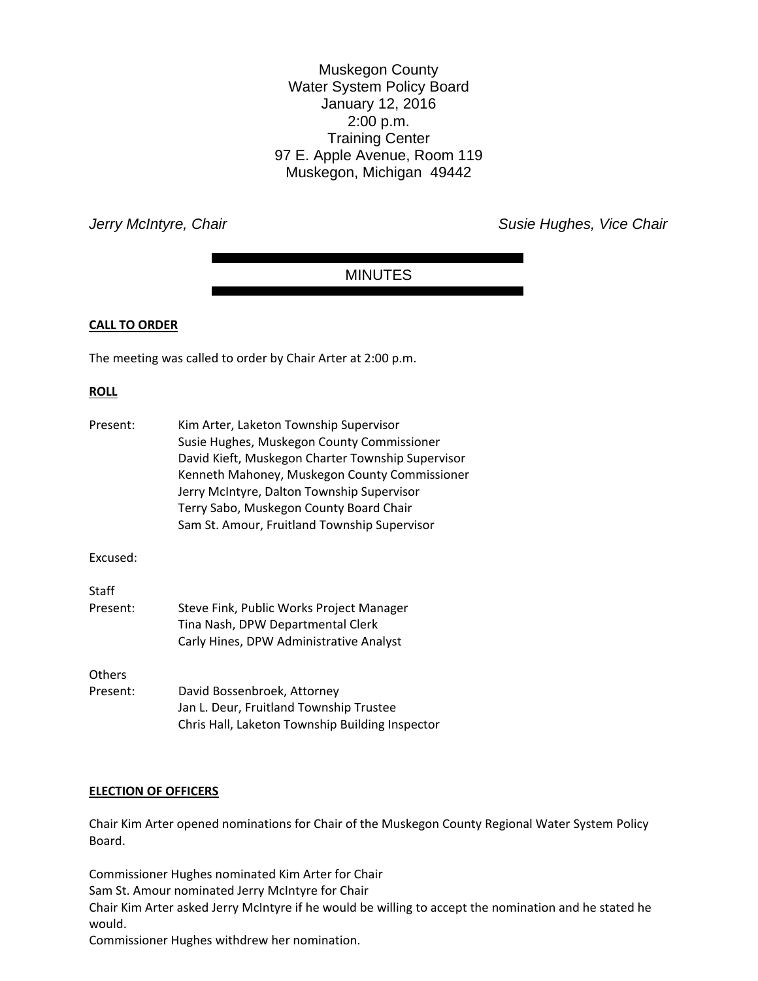Muskegon County Water System Policy Board January 12, 2016 2:00 p.m. Training Center 97 E. Apple Avenue, Room 119 Muskegon, Michigan 49442

*Jerry McIntyre, Chair* **Susie Hughes, Vice Chair** *Jerry McIntyre, Chair* **Susie Hughes, Vice Chair** 

# MINUTES

### **CALL TO ORDER**

The meeting was called to order by Chair Arter at 2:00 p.m.

### **ROLL**

| Present: | Kim Arter, Laketon Township Supervisor<br>Susie Hughes, Muskegon County Commissioner<br>David Kieft, Muskegon Charter Township Supervisor<br>Kenneth Mahoney, Muskegon County Commissioner<br>Jerry McIntyre, Dalton Township Supervisor<br>Terry Sabo, Muskegon County Board Chair<br>Sam St. Amour, Fruitland Township Supervisor |
|----------|-------------------------------------------------------------------------------------------------------------------------------------------------------------------------------------------------------------------------------------------------------------------------------------------------------------------------------------|
| Excused: |                                                                                                                                                                                                                                                                                                                                     |
| Staff    |                                                                                                                                                                                                                                                                                                                                     |
| Present: | Steve Fink, Public Works Project Manager<br>Tina Nash, DPW Departmental Clerk<br>Carly Hines, DPW Administrative Analyst                                                                                                                                                                                                            |
| Others   |                                                                                                                                                                                                                                                                                                                                     |
| Present: | David Bossenbroek, Attorney<br>Jan L. Deur, Fruitland Township Trustee<br>Chris Hall, Laketon Township Building Inspector                                                                                                                                                                                                           |

#### **ELECTION OF OFFICERS**

Chair Kim Arter opened nominations for Chair of the Muskegon County Regional Water System Policy Board.

Commissioner Hughes nominated Kim Arter for Chair Sam St. Amour nominated Jerry McIntyre for Chair Chair Kim Arter asked Jerry McIntyre if he would be willing to accept the nomination and he stated he would.

Commissioner Hughes withdrew her nomination.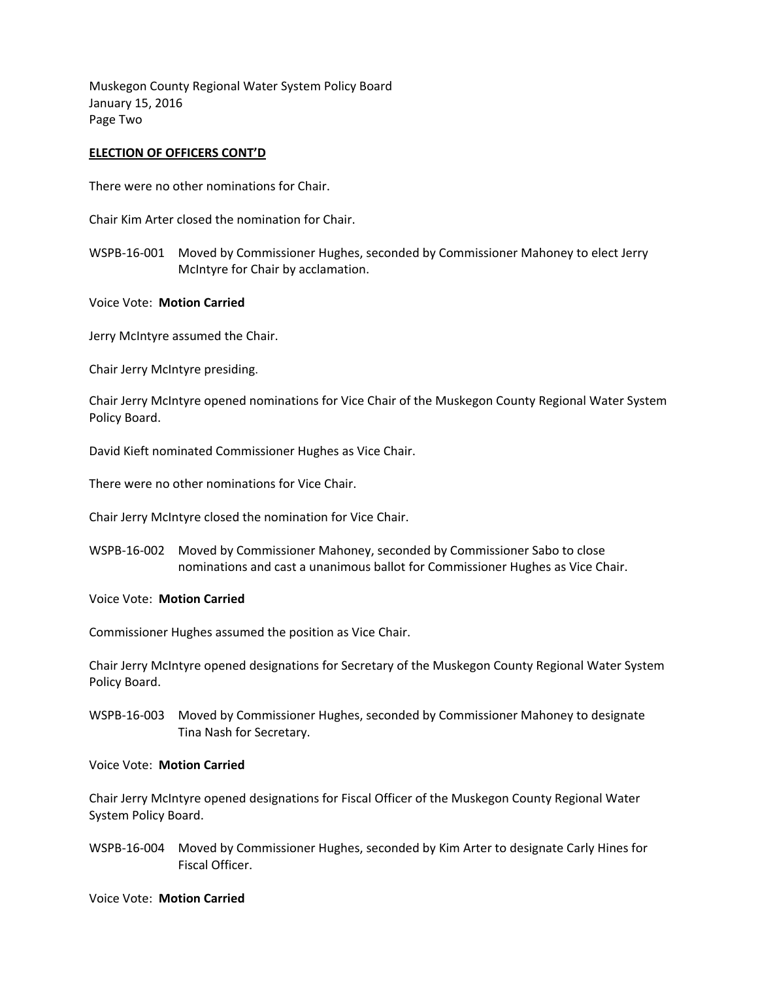Muskegon County Regional Water System Policy Board January 15, 2016 Page Two

## **ELECTION OF OFFICERS CONT'D**

There were no other nominations for Chair.

Chair Kim Arter closed the nomination for Chair.

- WSPB-16-001 Moved by Commissioner Hughes, seconded by Commissioner Mahoney to elect Jerry McIntyre for Chair by acclamation.
- Voice Vote: **Motion Carried**

Jerry McIntyre assumed the Chair.

Chair Jerry McIntyre presiding.

Chair Jerry McIntyre opened nominations for Vice Chair of the Muskegon County Regional Water System Policy Board.

David Kieft nominated Commissioner Hughes as Vice Chair.

There were no other nominations for Vice Chair.

Chair Jerry McIntyre closed the nomination for Vice Chair.

WSPB-16-002 Moved by Commissioner Mahoney, seconded by Commissioner Sabo to close nominations and cast a unanimous ballot for Commissioner Hughes as Vice Chair.

#### Voice Vote: **Motion Carried**

Commissioner Hughes assumed the position as Vice Chair.

Chair Jerry McIntyre opened designations for Secretary of the Muskegon County Regional Water System Policy Board.

WSPB-16-003 Moved by Commissioner Hughes, seconded by Commissioner Mahoney to designate Tina Nash for Secretary.

#### Voice Vote: **Motion Carried**

Chair Jerry McIntyre opened designations for Fiscal Officer of the Muskegon County Regional Water System Policy Board.

WSPB-16-004 Moved by Commissioner Hughes, seconded by Kim Arter to designate Carly Hines for Fiscal Officer.

#### Voice Vote: **Motion Carried**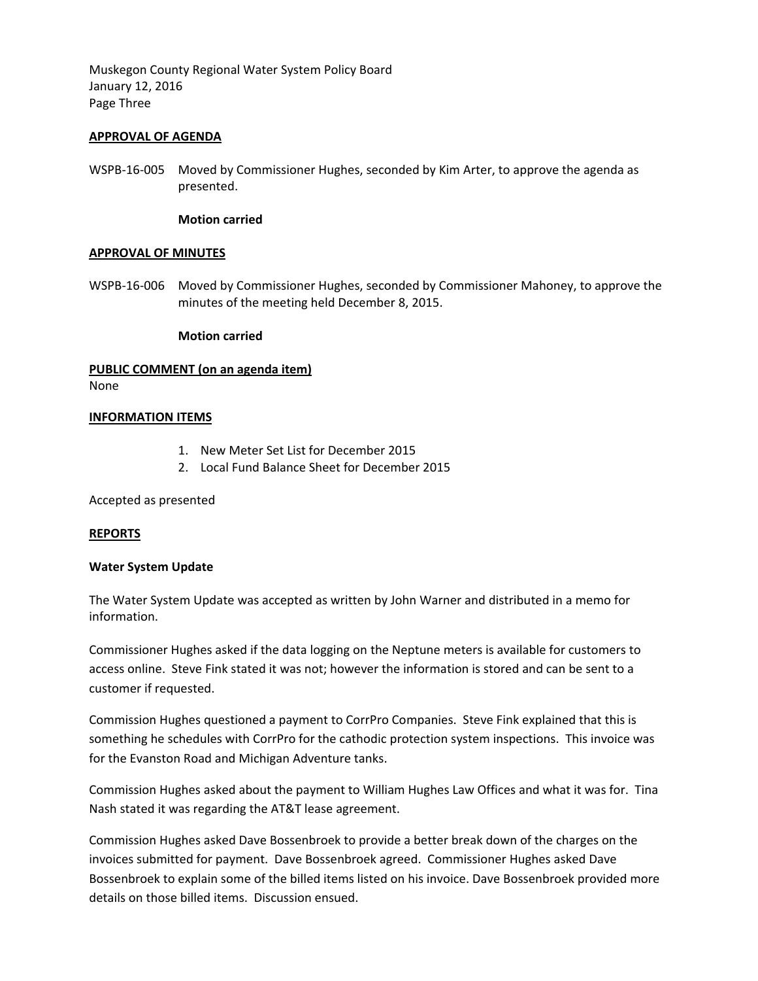Muskegon County Regional Water System Policy Board January 12, 2016 Page Three

### **APPROVAL OF AGENDA**

WSPB-16-005 Moved by Commissioner Hughes, seconded by Kim Arter, to approve the agenda as presented.

#### **Motion carried**

#### **APPROVAL OF MINUTES**

WSPB-16-006 Moved by Commissioner Hughes, seconded by Commissioner Mahoney, to approve the minutes of the meeting held December 8, 2015.

### **Motion carried**

# **PUBLIC COMMENT (on an agenda item)**

None

### **INFORMATION ITEMS**

- 1. New Meter Set List for December 2015
- 2. Local Fund Balance Sheet for December 2015

Accepted as presented

#### **REPORTS**

#### **Water System Update**

The Water System Update was accepted as written by John Warner and distributed in a memo for information.

Commissioner Hughes asked if the data logging on the Neptune meters is available for customers to access online. Steve Fink stated it was not; however the information is stored and can be sent to a customer if requested.

Commission Hughes questioned a payment to CorrPro Companies. Steve Fink explained that this is something he schedules with CorrPro for the cathodic protection system inspections. This invoice was for the Evanston Road and Michigan Adventure tanks.

Commission Hughes asked about the payment to William Hughes Law Offices and what it was for. Tina Nash stated it was regarding the AT&T lease agreement.

Commission Hughes asked Dave Bossenbroek to provide a better break down of the charges on the invoices submitted for payment. Dave Bossenbroek agreed. Commissioner Hughes asked Dave Bossenbroek to explain some of the billed items listed on his invoice. Dave Bossenbroek provided more details on those billed items. Discussion ensued.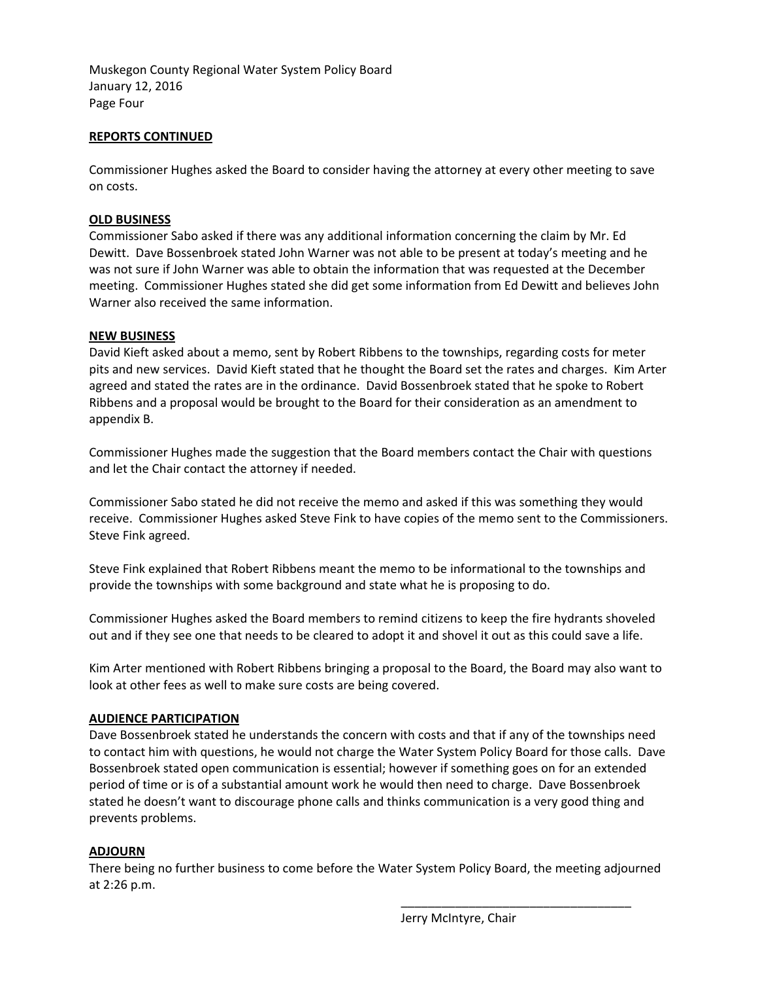Muskegon County Regional Water System Policy Board January 12, 2016 Page Four

# **REPORTS CONTINUED**

Commissioner Hughes asked the Board to consider having the attorney at every other meeting to save on costs.

# **OLD BUSINESS**

Commissioner Sabo asked if there was any additional information concerning the claim by Mr. Ed Dewitt. Dave Bossenbroek stated John Warner was not able to be present at today's meeting and he was not sure if John Warner was able to obtain the information that was requested at the December meeting. Commissioner Hughes stated she did get some information from Ed Dewitt and believes John Warner also received the same information.

# **NEW BUSINESS**

David Kieft asked about a memo, sent by Robert Ribbens to the townships, regarding costs for meter pits and new services. David Kieft stated that he thought the Board set the rates and charges. Kim Arter agreed and stated the rates are in the ordinance. David Bossenbroek stated that he spoke to Robert Ribbens and a proposal would be brought to the Board for their consideration as an amendment to appendix B.

Commissioner Hughes made the suggestion that the Board members contact the Chair with questions and let the Chair contact the attorney if needed.

Commissioner Sabo stated he did not receive the memo and asked if this was something they would receive. Commissioner Hughes asked Steve Fink to have copies of the memo sent to the Commissioners. Steve Fink agreed.

Steve Fink explained that Robert Ribbens meant the memo to be informational to the townships and provide the townships with some background and state what he is proposing to do.

Commissioner Hughes asked the Board members to remind citizens to keep the fire hydrants shoveled out and if they see one that needs to be cleared to adopt it and shovel it out as this could save a life.

Kim Arter mentioned with Robert Ribbens bringing a proposal to the Board, the Board may also want to look at other fees as well to make sure costs are being covered.

# **AUDIENCE PARTICIPATION**

Dave Bossenbroek stated he understands the concern with costs and that if any of the townships need to contact him with questions, he would not charge the Water System Policy Board for those calls. Dave Bossenbroek stated open communication is essential; however if something goes on for an extended period of time or is of a substantial amount work he would then need to charge. Dave Bossenbroek stated he doesn't want to discourage phone calls and thinks communication is a very good thing and prevents problems.

# **ADJOURN**

There being no further business to come before the Water System Policy Board, the meeting adjourned at 2:26 p.m.

Jerry McIntyre, Chair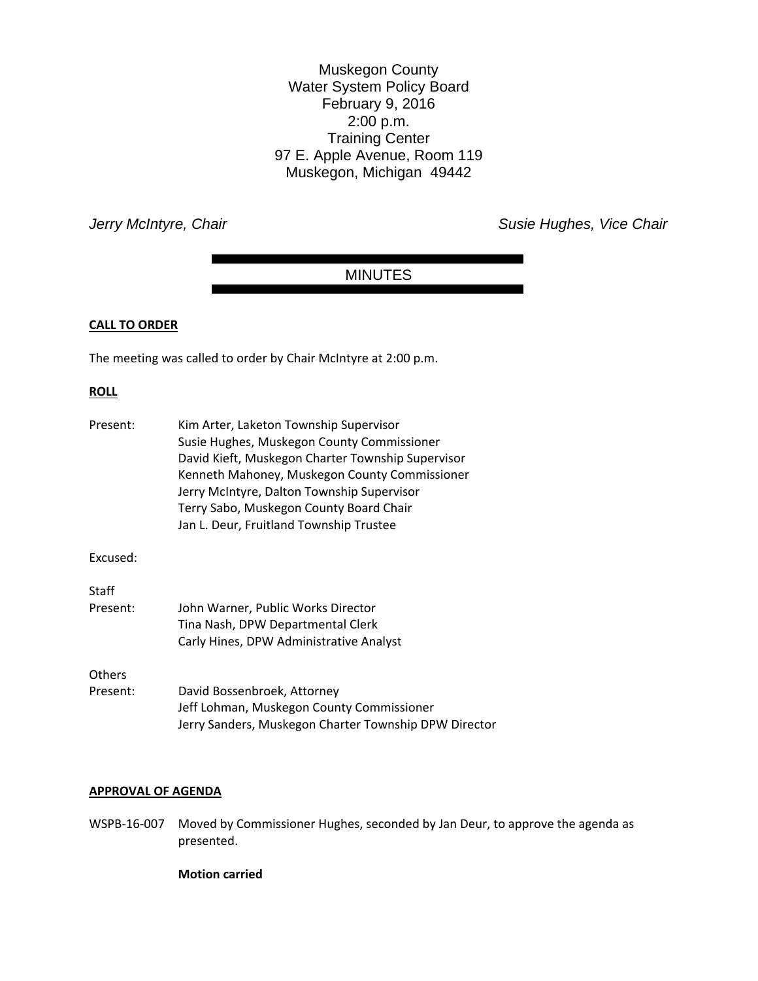Muskegon County Water System Policy Board February 9, 2016 2:00 p.m. Training Center 97 E. Apple Avenue, Room 119 Muskegon, Michigan 49442

*Jerry McIntyre, Chair Chair Chair Chair Chair Susie Hughes, Vice Chair Chair* 

# MINUTES

### **CALL TO ORDER**

The meeting was called to order by Chair McIntyre at 2:00 p.m.

### **ROLL**

| Present: | Kim Arter, Laketon Township Supervisor<br>Susie Hughes, Muskegon County Commissioner<br>David Kieft, Muskegon Charter Township Supervisor<br>Kenneth Mahoney, Muskegon County Commissioner<br>Jerry McIntyre, Dalton Township Supervisor<br>Terry Sabo, Muskegon County Board Chair<br>Jan L. Deur, Fruitland Township Trustee |
|----------|--------------------------------------------------------------------------------------------------------------------------------------------------------------------------------------------------------------------------------------------------------------------------------------------------------------------------------|
| Excused: |                                                                                                                                                                                                                                                                                                                                |
| Staff    |                                                                                                                                                                                                                                                                                                                                |
| Present: | John Warner, Public Works Director                                                                                                                                                                                                                                                                                             |
|          | Tina Nash, DPW Departmental Clerk                                                                                                                                                                                                                                                                                              |
|          | Carly Hines, DPW Administrative Analyst                                                                                                                                                                                                                                                                                        |
| Others   |                                                                                                                                                                                                                                                                                                                                |
| Present: | David Bossenbroek, Attorney<br>Jeff Lohman, Muskegon County Commissioner<br>Jerry Sanders, Muskegon Charter Township DPW Director                                                                                                                                                                                              |

#### **APPROVAL OF AGENDA**

WSPB-16-007 Moved by Commissioner Hughes, seconded by Jan Deur, to approve the agenda as presented.

**Motion carried**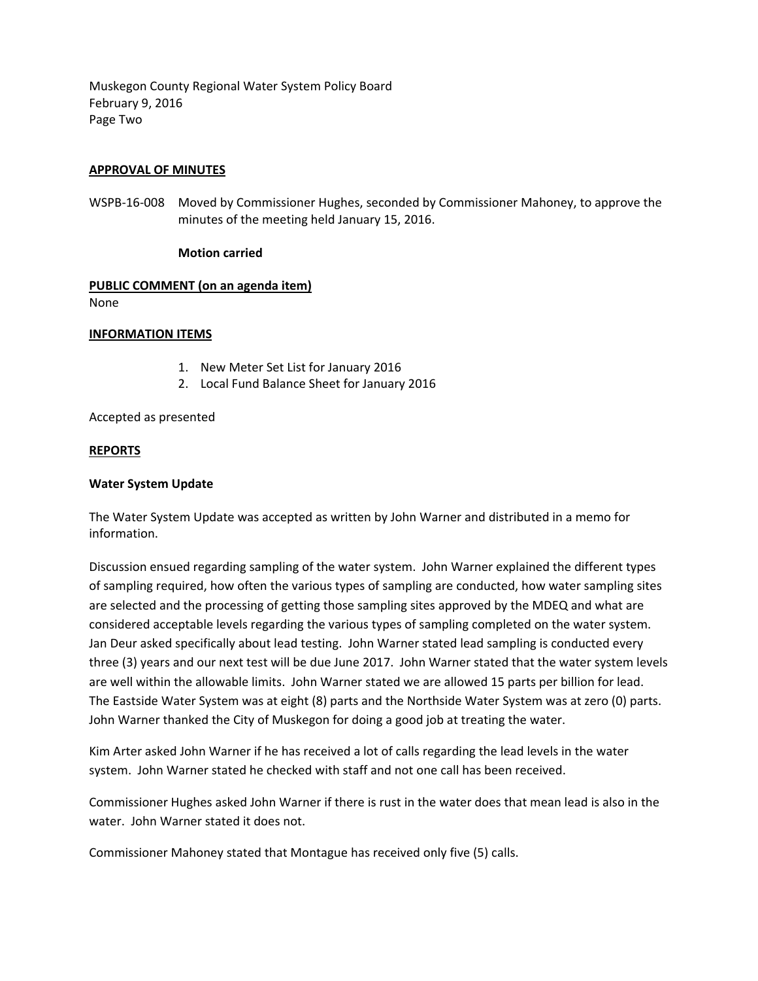Muskegon County Regional Water System Policy Board February 9, 2016 Page Two

### **APPROVAL OF MINUTES**

WSPB-16-008 Moved by Commissioner Hughes, seconded by Commissioner Mahoney, to approve the minutes of the meeting held January 15, 2016.

### **Motion carried**

# **PUBLIC COMMENT (on an agenda item)**

None

### **INFORMATION ITEMS**

- 1. New Meter Set List for January 2016
- 2. Local Fund Balance Sheet for January 2016

Accepted as presented

#### **REPORTS**

#### **Water System Update**

The Water System Update was accepted as written by John Warner and distributed in a memo for information.

Discussion ensued regarding sampling of the water system. John Warner explained the different types of sampling required, how often the various types of sampling are conducted, how water sampling sites are selected and the processing of getting those sampling sites approved by the MDEQ and what are considered acceptable levels regarding the various types of sampling completed on the water system. Jan Deur asked specifically about lead testing. John Warner stated lead sampling is conducted every three (3) years and our next test will be due June 2017. John Warner stated that the water system levels are well within the allowable limits. John Warner stated we are allowed 15 parts per billion for lead. The Eastside Water System was at eight (8) parts and the Northside Water System was at zero (0) parts. John Warner thanked the City of Muskegon for doing a good job at treating the water.

Kim Arter asked John Warner if he has received a lot of calls regarding the lead levels in the water system. John Warner stated he checked with staff and not one call has been received.

Commissioner Hughes asked John Warner if there is rust in the water does that mean lead is also in the water. John Warner stated it does not.

Commissioner Mahoney stated that Montague has received only five (5) calls.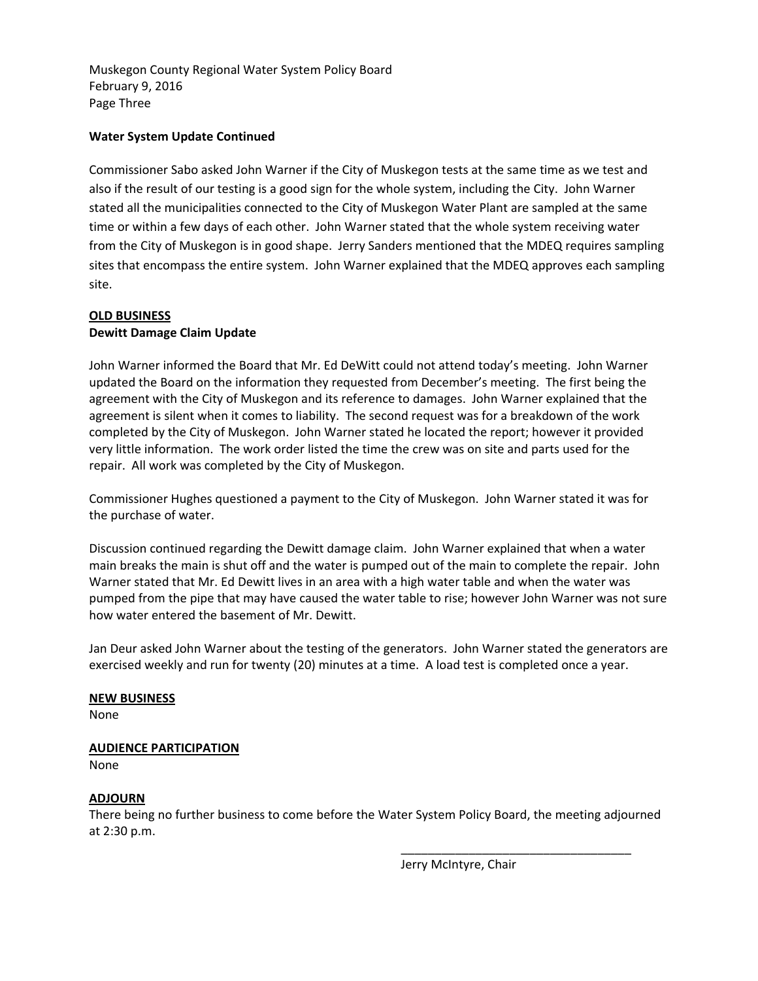Muskegon County Regional Water System Policy Board February 9, 2016 Page Three

# **Water System Update Continued**

Commissioner Sabo asked John Warner if the City of Muskegon tests at the same time as we test and also if the result of our testing is a good sign for the whole system, including the City. John Warner stated all the municipalities connected to the City of Muskegon Water Plant are sampled at the same time or within a few days of each other. John Warner stated that the whole system receiving water from the City of Muskegon is in good shape. Jerry Sanders mentioned that the MDEQ requires sampling sites that encompass the entire system. John Warner explained that the MDEQ approves each sampling site.

# **OLD BUSINESS Dewitt Damage Claim Update**

John Warner informed the Board that Mr. Ed DeWitt could not attend today's meeting. John Warner updated the Board on the information they requested from December's meeting. The first being the agreement with the City of Muskegon and its reference to damages. John Warner explained that the agreement is silent when it comes to liability. The second request was for a breakdown of the work completed by the City of Muskegon. John Warner stated he located the report; however it provided very little information. The work order listed the time the crew was on site and parts used for the repair. All work was completed by the City of Muskegon.

Commissioner Hughes questioned a payment to the City of Muskegon. John Warner stated it was for the purchase of water.

Discussion continued regarding the Dewitt damage claim. John Warner explained that when a water main breaks the main is shut off and the water is pumped out of the main to complete the repair. John Warner stated that Mr. Ed Dewitt lives in an area with a high water table and when the water was pumped from the pipe that may have caused the water table to rise; however John Warner was not sure how water entered the basement of Mr. Dewitt.

Jan Deur asked John Warner about the testing of the generators. John Warner stated the generators are exercised weekly and run for twenty (20) minutes at a time. A load test is completed once a year.

# **NEW BUSINESS**

None

# **AUDIENCE PARTICIPATION**

None

# **ADJOURN**

There being no further business to come before the Water System Policy Board, the meeting adjourned at 2:30 p.m.

Jerry McIntyre, Chair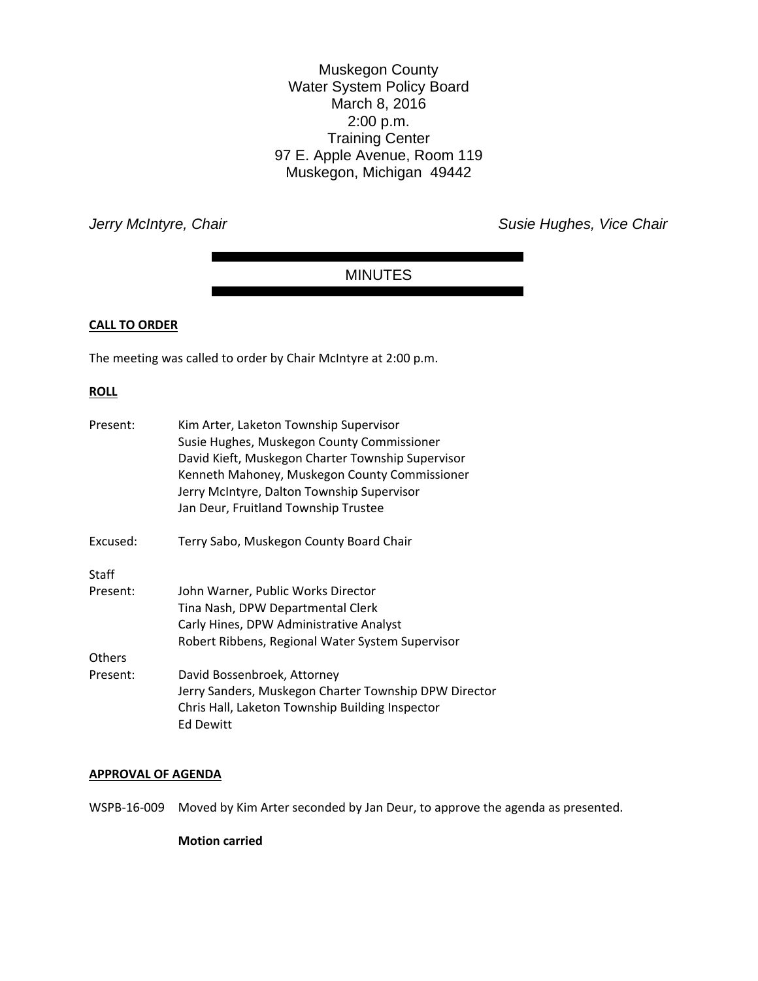Muskegon County Water System Policy Board March 8, 2016 2:00 p.m. Training Center 97 E. Apple Avenue, Room 119 Muskegon, Michigan 49442

*Jerry McIntyre, Chair Chair Chair Chair Chair Susie Hughes, Vice Chair Chair* 

# MINUTES

### **CALL TO ORDER**

The meeting was called to order by Chair McIntyre at 2:00 p.m.

### **ROLL**

| Present:      | Kim Arter, Laketon Township Supervisor<br>Susie Hughes, Muskegon County Commissioner<br>David Kieft, Muskegon Charter Township Supervisor<br>Kenneth Mahoney, Muskegon County Commissioner<br>Jerry McIntyre, Dalton Township Supervisor<br>Jan Deur, Fruitland Township Trustee |
|---------------|----------------------------------------------------------------------------------------------------------------------------------------------------------------------------------------------------------------------------------------------------------------------------------|
| Excused:      | Terry Sabo, Muskegon County Board Chair                                                                                                                                                                                                                                          |
| Staff         |                                                                                                                                                                                                                                                                                  |
| Present:      | John Warner, Public Works Director                                                                                                                                                                                                                                               |
|               | Tina Nash, DPW Departmental Clerk                                                                                                                                                                                                                                                |
|               | Carly Hines, DPW Administrative Analyst                                                                                                                                                                                                                                          |
|               | Robert Ribbens, Regional Water System Supervisor                                                                                                                                                                                                                                 |
| <b>Others</b> |                                                                                                                                                                                                                                                                                  |
| Present:      | David Bossenbroek, Attorney<br>Jerry Sanders, Muskegon Charter Township DPW Director<br>Chris Hall, Laketon Township Building Inspector<br>Ed Dewitt                                                                                                                             |

#### **APPROVAL OF AGENDA**

WSPB-16-009 Moved by Kim Arter seconded by Jan Deur, to approve the agenda as presented.

**Motion carried**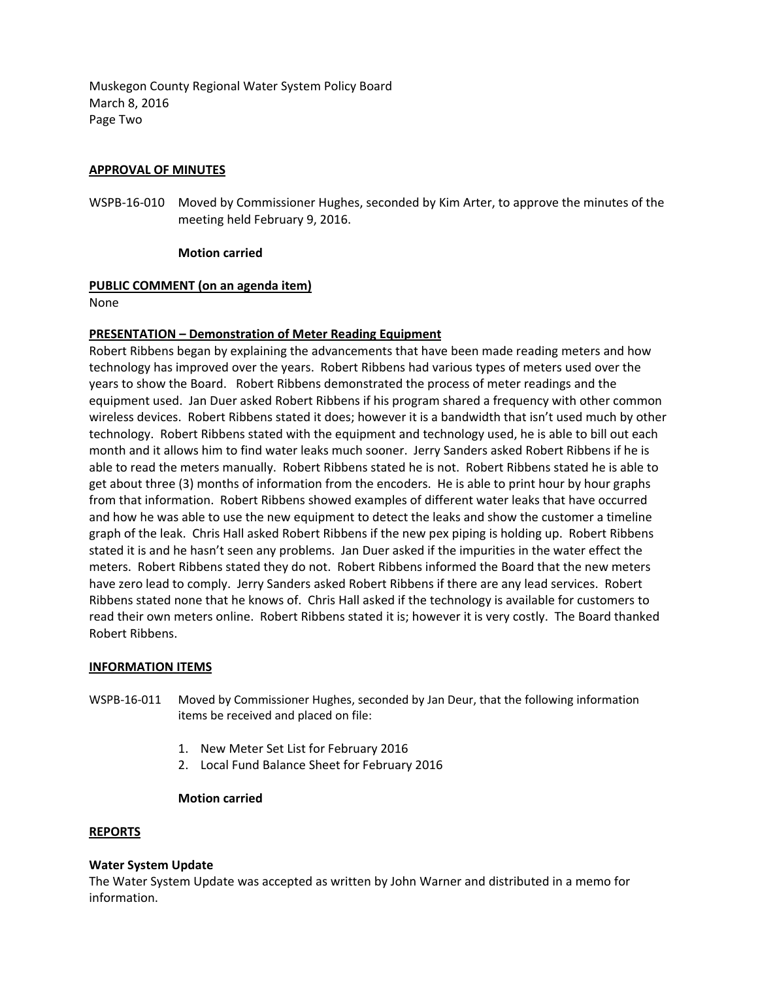Muskegon County Regional Water System Policy Board March 8, 2016 Page Two

# **APPROVAL OF MINUTES**

WSPB-16-010 Moved by Commissioner Hughes, seconded by Kim Arter, to approve the minutes of the meeting held February 9, 2016.

# **Motion carried**

# **PUBLIC COMMENT (on an agenda item)**

None

# **PRESENTATION – Demonstration of Meter Reading Equipment**

Robert Ribbens began by explaining the advancements that have been made reading meters and how technology has improved over the years. Robert Ribbens had various types of meters used over the years to show the Board. Robert Ribbens demonstrated the process of meter readings and the equipment used. Jan Duer asked Robert Ribbens if his program shared a frequency with other common wireless devices. Robert Ribbens stated it does; however it is a bandwidth that isn't used much by other technology. Robert Ribbens stated with the equipment and technology used, he is able to bill out each month and it allows him to find water leaks much sooner. Jerry Sanders asked Robert Ribbens if he is able to read the meters manually. Robert Ribbens stated he is not. Robert Ribbens stated he is able to get about three (3) months of information from the encoders. He is able to print hour by hour graphs from that information. Robert Ribbens showed examples of different water leaks that have occurred and how he was able to use the new equipment to detect the leaks and show the customer a timeline graph of the leak. Chris Hall asked Robert Ribbens if the new pex piping is holding up. Robert Ribbens stated it is and he hasn't seen any problems. Jan Duer asked if the impurities in the water effect the meters. Robert Ribbens stated they do not. Robert Ribbens informed the Board that the new meters have zero lead to comply. Jerry Sanders asked Robert Ribbens if there are any lead services. Robert Ribbens stated none that he knows of. Chris Hall asked if the technology is available for customers to read their own meters online. Robert Ribbens stated it is; however it is very costly. The Board thanked Robert Ribbens.

# **INFORMATION ITEMS**

- WSPB-16-011 Moved by Commissioner Hughes, seconded by Jan Deur, that the following information items be received and placed on file:
	- 1. New Meter Set List for February 2016
	- 2. Local Fund Balance Sheet for February 2016

# **Motion carried**

# **REPORTS**

# **Water System Update**

The Water System Update was accepted as written by John Warner and distributed in a memo for information.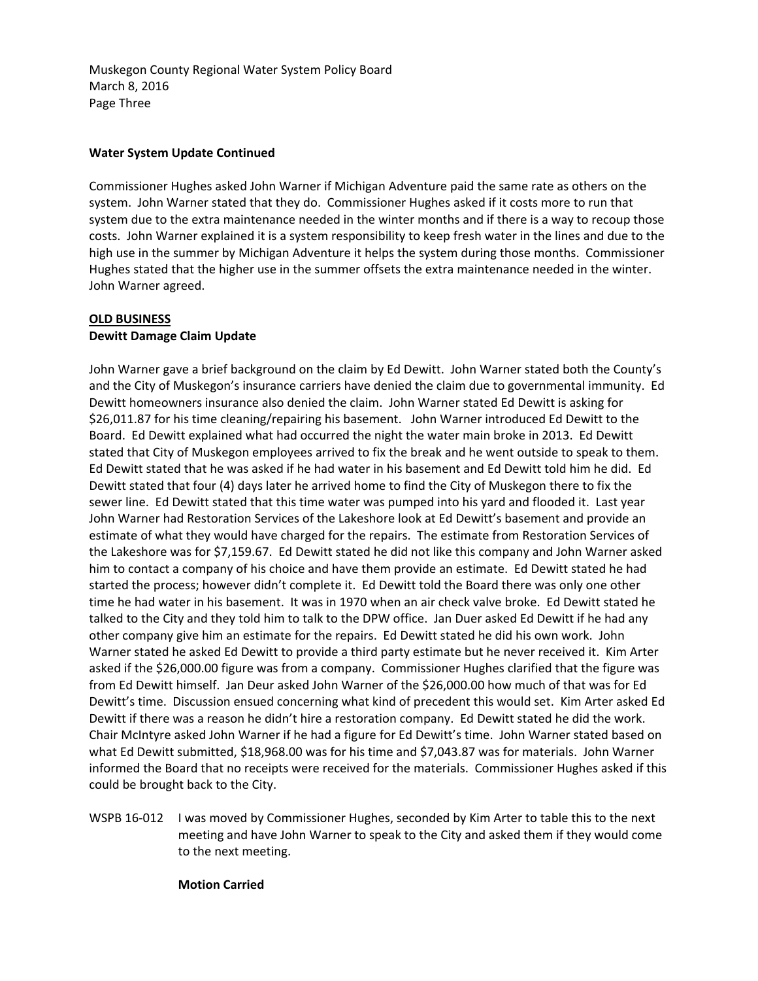Muskegon County Regional Water System Policy Board March 8, 2016 Page Three

# **Water System Update Continued**

Commissioner Hughes asked John Warner if Michigan Adventure paid the same rate as others on the system. John Warner stated that they do. Commissioner Hughes asked if it costs more to run that system due to the extra maintenance needed in the winter months and if there is a way to recoup those costs. John Warner explained it is a system responsibility to keep fresh water in the lines and due to the high use in the summer by Michigan Adventure it helps the system during those months. Commissioner Hughes stated that the higher use in the summer offsets the extra maintenance needed in the winter. John Warner agreed.

# **OLD BUSINESS Dewitt Damage Claim Update**

John Warner gave a brief background on the claim by Ed Dewitt. John Warner stated both the County's and the City of Muskegon's insurance carriers have denied the claim due to governmental immunity. Ed Dewitt homeowners insurance also denied the claim. John Warner stated Ed Dewitt is asking for \$26,011.87 for his time cleaning/repairing his basement. John Warner introduced Ed Dewitt to the Board. Ed Dewitt explained what had occurred the night the water main broke in 2013. Ed Dewitt stated that City of Muskegon employees arrived to fix the break and he went outside to speak to them. Ed Dewitt stated that he was asked if he had water in his basement and Ed Dewitt told him he did. Ed Dewitt stated that four (4) days later he arrived home to find the City of Muskegon there to fix the sewer line. Ed Dewitt stated that this time water was pumped into his yard and flooded it. Last year John Warner had Restoration Services of the Lakeshore look at Ed Dewitt's basement and provide an estimate of what they would have charged for the repairs. The estimate from Restoration Services of the Lakeshore was for \$7,159.67. Ed Dewitt stated he did not like this company and John Warner asked him to contact a company of his choice and have them provide an estimate. Ed Dewitt stated he had started the process; however didn't complete it. Ed Dewitt told the Board there was only one other time he had water in his basement. It was in 1970 when an air check valve broke. Ed Dewitt stated he talked to the City and they told him to talk to the DPW office. Jan Duer asked Ed Dewitt if he had any other company give him an estimate for the repairs. Ed Dewitt stated he did his own work. John Warner stated he asked Ed Dewitt to provide a third party estimate but he never received it. Kim Arter asked if the \$26,000.00 figure was from a company. Commissioner Hughes clarified that the figure was from Ed Dewitt himself. Jan Deur asked John Warner of the \$26,000.00 how much of that was for Ed Dewitt's time. Discussion ensued concerning what kind of precedent this would set. Kim Arter asked Ed Dewitt if there was a reason he didn't hire a restoration company. Ed Dewitt stated he did the work. Chair McIntyre asked John Warner if he had a figure for Ed Dewitt's time. John Warner stated based on what Ed Dewitt submitted, \$18,968.00 was for his time and \$7,043.87 was for materials. John Warner informed the Board that no receipts were received for the materials. Commissioner Hughes asked if this could be brought back to the City.

WSPB 16-012 I was moved by Commissioner Hughes, seconded by Kim Arter to table this to the next meeting and have John Warner to speak to the City and asked them if they would come to the next meeting.

#### **Motion Carried**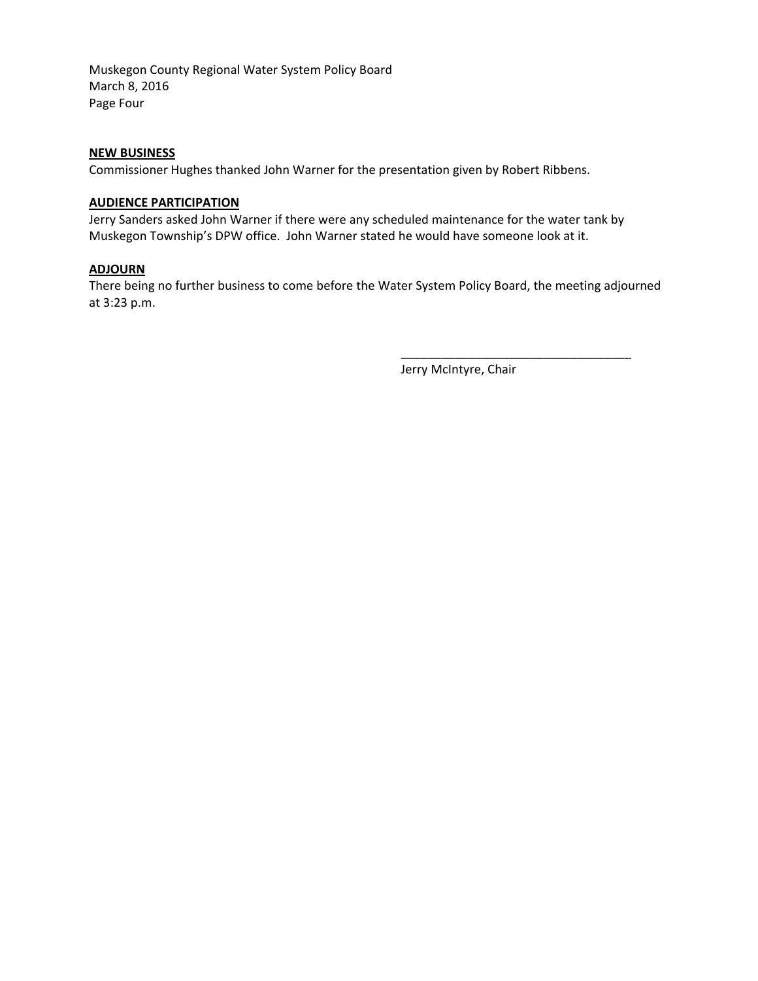Muskegon County Regional Water System Policy Board March 8, 2016 Page Four

## **NEW BUSINESS**

Commissioner Hughes thanked John Warner for the presentation given by Robert Ribbens.

#### **AUDIENCE PARTICIPATION**

Jerry Sanders asked John Warner if there were any scheduled maintenance for the water tank by Muskegon Township's DPW office. John Warner stated he would have someone look at it.

## **ADJOURN**

There being no further business to come before the Water System Policy Board, the meeting adjourned at 3:23 p.m.

Jerry McIntyre, Chair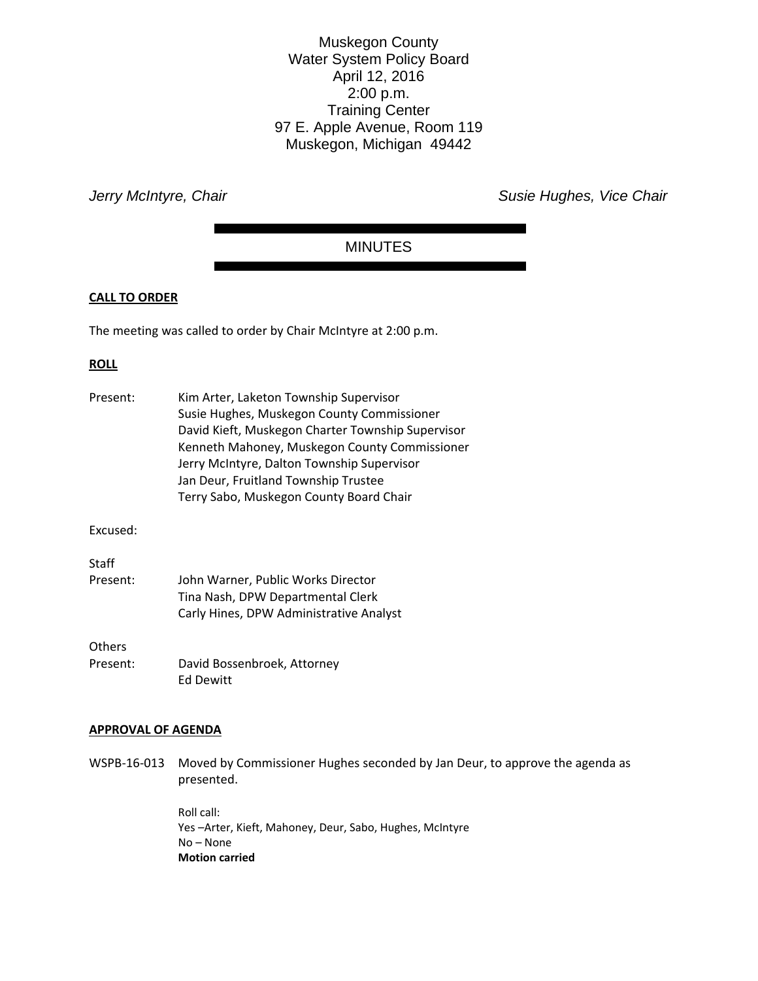Muskegon County Water System Policy Board April 12, 2016 2:00 p.m. Training Center 97 E. Apple Avenue, Room 119 Muskegon, Michigan 49442

*Jerry McIntyre, Chair Chair Chair Chair Chair Susie Hughes, Vice Chair Chair* 

# MINUTES

#### **CALL TO ORDER**

The meeting was called to order by Chair McIntyre at 2:00 p.m.

#### **ROLL**

| Present: | Kim Arter, Laketon Township Supervisor<br>Susie Hughes, Muskegon County Commissioner<br>David Kieft, Muskegon Charter Township Supervisor<br>Kenneth Mahoney, Muskegon County Commissioner<br>Jerry McIntyre, Dalton Township Supervisor<br>Jan Deur, Fruitland Township Trustee<br>Terry Sabo, Muskegon County Board Chair |
|----------|-----------------------------------------------------------------------------------------------------------------------------------------------------------------------------------------------------------------------------------------------------------------------------------------------------------------------------|
| Excused: |                                                                                                                                                                                                                                                                                                                             |
|          |                                                                                                                                                                                                                                                                                                                             |
| Staff    |                                                                                                                                                                                                                                                                                                                             |
| Present: | John Warner, Public Works Director<br>Tina Nash, DPW Departmental Clerk<br>Carly Hines, DPW Administrative Analyst                                                                                                                                                                                                          |
| Others   |                                                                                                                                                                                                                                                                                                                             |
| Present: | David Bossenbroek, Attorney<br><b>Ed Dewitt</b>                                                                                                                                                                                                                                                                             |

#### **APPROVAL OF AGENDA**

WSPB-16-013 Moved by Commissioner Hughes seconded by Jan Deur, to approve the agenda as presented.

> Roll call: Yes –Arter, Kieft, Mahoney, Deur, Sabo, Hughes, McIntyre No – None **Motion carried**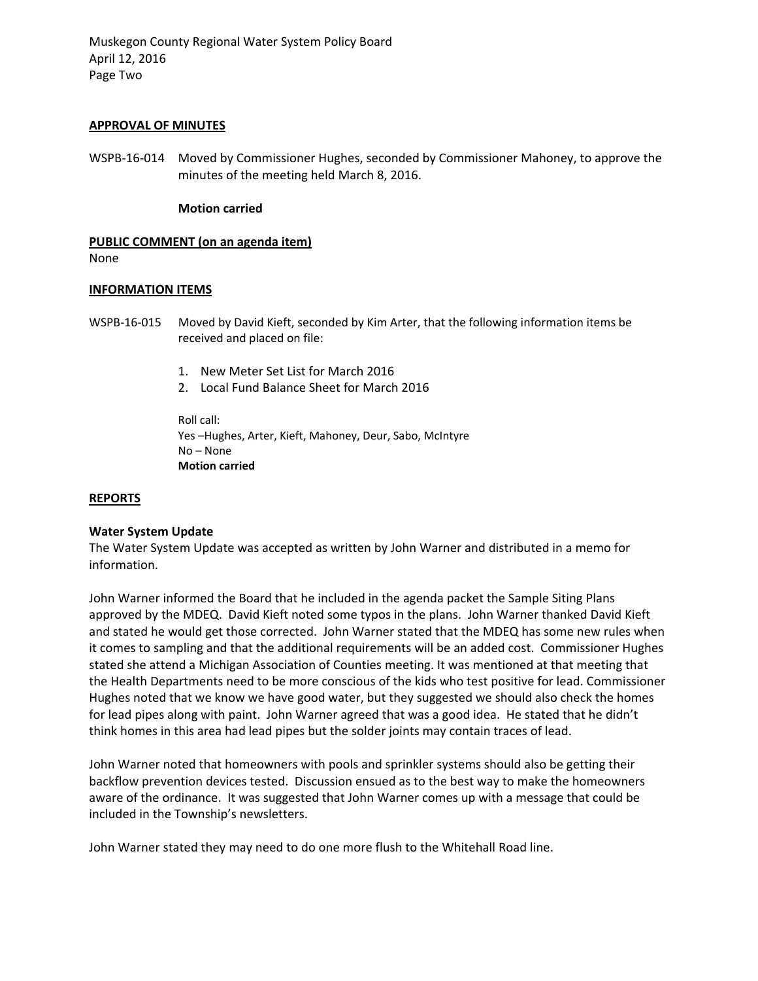Muskegon County Regional Water System Policy Board April 12, 2016 Page Two

#### **APPROVAL OF MINUTES**

WSPB-16-014 Moved by Commissioner Hughes, seconded by Commissioner Mahoney, to approve the minutes of the meeting held March 8, 2016.

#### **Motion carried**

#### **PUBLIC COMMENT (on an agenda item)**

None

#### **INFORMATION ITEMS**

WSPB-16-015 Moved by David Kieft, seconded by Kim Arter, that the following information items be received and placed on file:

- 1. New Meter Set List for March 2016
- 2. Local Fund Balance Sheet for March 2016

Roll call: Yes –Hughes, Arter, Kieft, Mahoney, Deur, Sabo, McIntyre No – None **Motion carried** 

#### **REPORTS**

#### **Water System Update**

The Water System Update was accepted as written by John Warner and distributed in a memo for information.

John Warner informed the Board that he included in the agenda packet the Sample Siting Plans approved by the MDEQ. David Kieft noted some typos in the plans. John Warner thanked David Kieft and stated he would get those corrected. John Warner stated that the MDEQ has some new rules when it comes to sampling and that the additional requirements will be an added cost. Commissioner Hughes stated she attend a Michigan Association of Counties meeting. It was mentioned at that meeting that the Health Departments need to be more conscious of the kids who test positive for lead. Commissioner Hughes noted that we know we have good water, but they suggested we should also check the homes for lead pipes along with paint. John Warner agreed that was a good idea. He stated that he didn't think homes in this area had lead pipes but the solder joints may contain traces of lead.

John Warner noted that homeowners with pools and sprinkler systems should also be getting their backflow prevention devices tested. Discussion ensued as to the best way to make the homeowners aware of the ordinance. It was suggested that John Warner comes up with a message that could be included in the Township's newsletters.

John Warner stated they may need to do one more flush to the Whitehall Road line.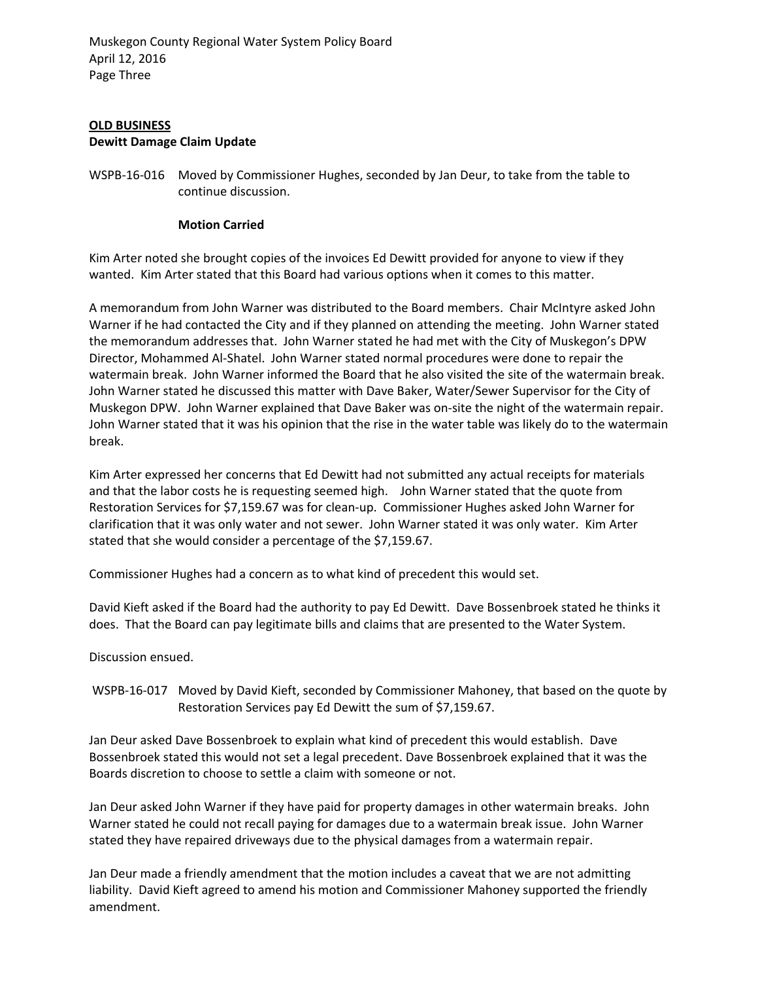# **OLD BUSINESS Dewitt Damage Claim Update**

WSPB-16-016 Moved by Commissioner Hughes, seconded by Jan Deur, to take from the table to continue discussion.

# **Motion Carried**

Kim Arter noted she brought copies of the invoices Ed Dewitt provided for anyone to view if they wanted. Kim Arter stated that this Board had various options when it comes to this matter.

A memorandum from John Warner was distributed to the Board members. Chair McIntyre asked John Warner if he had contacted the City and if they planned on attending the meeting. John Warner stated the memorandum addresses that. John Warner stated he had met with the City of Muskegon's DPW Director, Mohammed Al-Shatel. John Warner stated normal procedures were done to repair the watermain break. John Warner informed the Board that he also visited the site of the watermain break. John Warner stated he discussed this matter with Dave Baker, Water/Sewer Supervisor for the City of Muskegon DPW. John Warner explained that Dave Baker was on-site the night of the watermain repair. John Warner stated that it was his opinion that the rise in the water table was likely do to the watermain break.

Kim Arter expressed her concerns that Ed Dewitt had not submitted any actual receipts for materials and that the labor costs he is requesting seemed high. John Warner stated that the quote from Restoration Services for \$7,159.67 was for clean-up. Commissioner Hughes asked John Warner for clarification that it was only water and not sewer. John Warner stated it was only water. Kim Arter stated that she would consider a percentage of the \$7,159.67.

Commissioner Hughes had a concern as to what kind of precedent this would set.

David Kieft asked if the Board had the authority to pay Ed Dewitt. Dave Bossenbroek stated he thinks it does. That the Board can pay legitimate bills and claims that are presented to the Water System.

Discussion ensued.

 WSPB-16-017 Moved by David Kieft, seconded by Commissioner Mahoney, that based on the quote by Restoration Services pay Ed Dewitt the sum of \$7,159.67.

Jan Deur asked Dave Bossenbroek to explain what kind of precedent this would establish. Dave Bossenbroek stated this would not set a legal precedent. Dave Bossenbroek explained that it was the Boards discretion to choose to settle a claim with someone or not.

Jan Deur asked John Warner if they have paid for property damages in other watermain breaks. John Warner stated he could not recall paying for damages due to a watermain break issue. John Warner stated they have repaired driveways due to the physical damages from a watermain repair.

Jan Deur made a friendly amendment that the motion includes a caveat that we are not admitting liability. David Kieft agreed to amend his motion and Commissioner Mahoney supported the friendly amendment.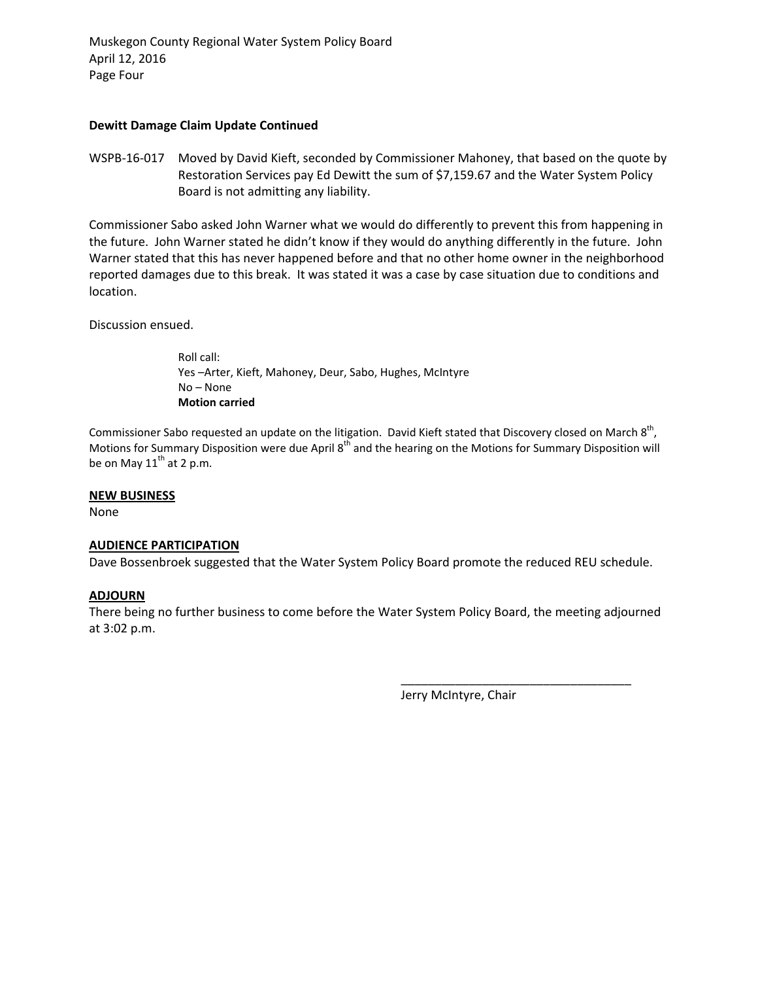Muskegon County Regional Water System Policy Board April 12, 2016 Page Four

## **Dewitt Damage Claim Update Continued**

WSPB-16-017 Moved by David Kieft, seconded by Commissioner Mahoney, that based on the quote by Restoration Services pay Ed Dewitt the sum of \$7,159.67 and the Water System Policy Board is not admitting any liability.

Commissioner Sabo asked John Warner what we would do differently to prevent this from happening in the future. John Warner stated he didn't know if they would do anything differently in the future. John Warner stated that this has never happened before and that no other home owner in the neighborhood reported damages due to this break. It was stated it was a case by case situation due to conditions and location.

Discussion ensued.

Roll call: Yes –Arter, Kieft, Mahoney, Deur, Sabo, Hughes, McIntyre No – None **Motion carried** 

Commissioner Sabo requested an update on the litigation. David Kieft stated that Discovery closed on March  $8<sup>th</sup>$ , Motions for Summary Disposition were due April 8<sup>th</sup> and the hearing on the Motions for Summary Disposition will be on May  $11^{th}$  at 2 p.m.

#### **NEW BUSINESS**

None

# **AUDIENCE PARTICIPATION**

Dave Bossenbroek suggested that the Water System Policy Board promote the reduced REU schedule.

# **ADJOURN**

There being no further business to come before the Water System Policy Board, the meeting adjourned at 3:02 p.m.

Jerry McIntyre, Chair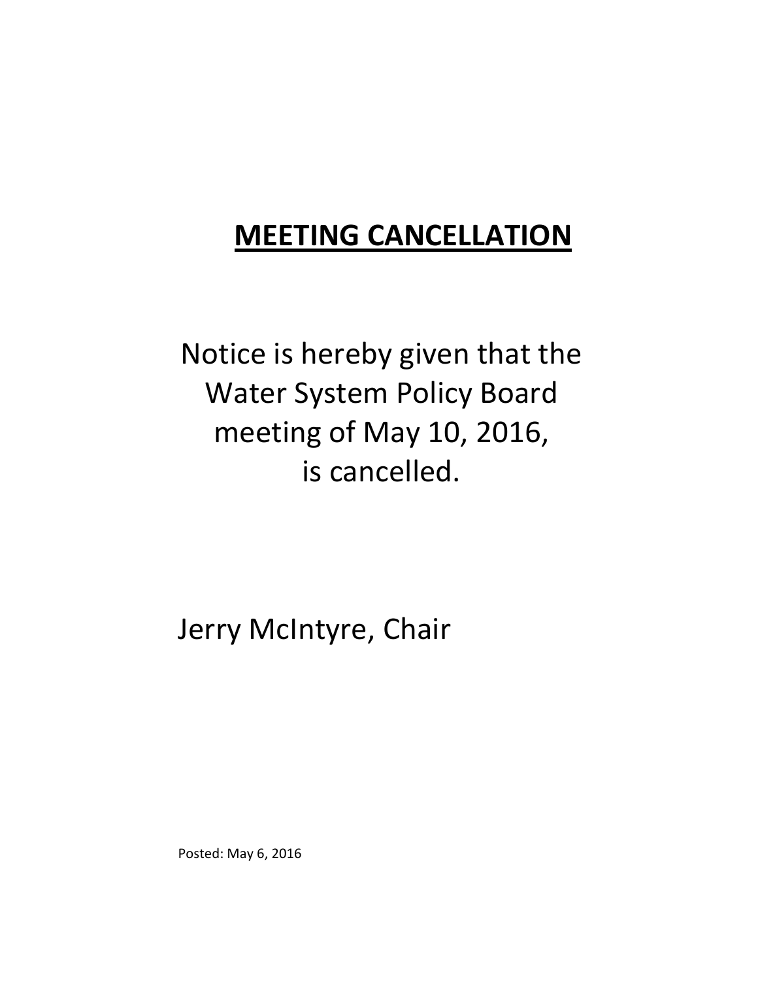# **MEETING CANCELLATION**

Notice is hereby given that the Water System Policy Board meeting of May 10, 2016, is cancelled.

Jerry McIntyre, Chair

Posted: May 6, 2016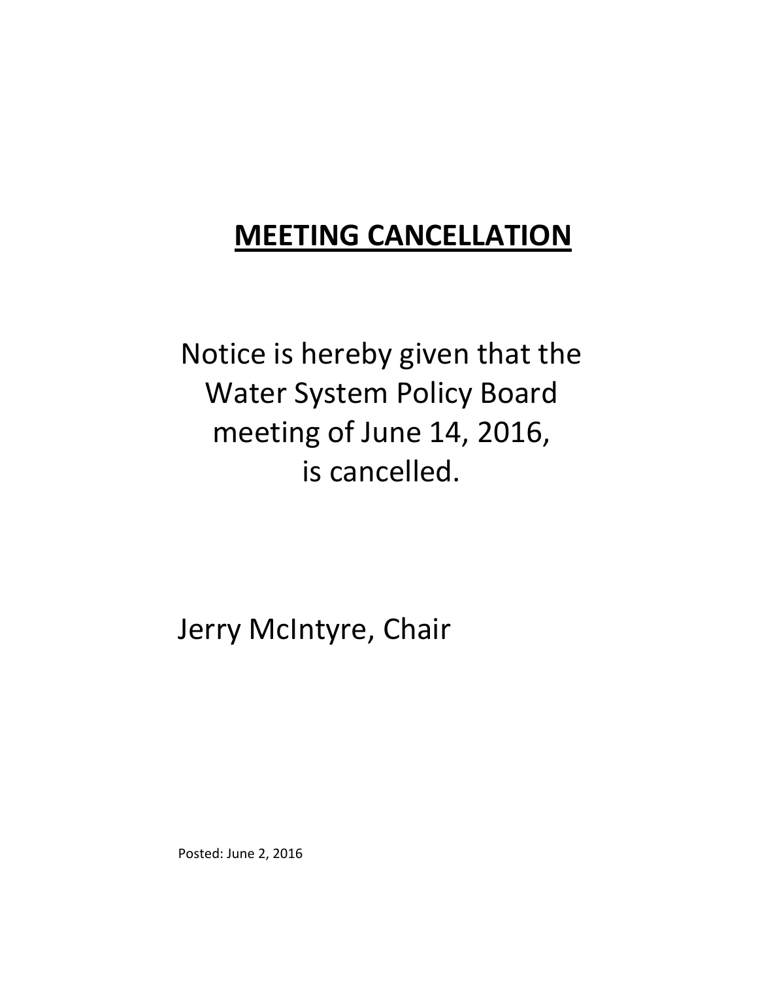# **MEETING CANCELLATION**

Notice is hereby given that the Water System Policy Board meeting of June 14, 2016, is cancelled.

Jerry McIntyre, Chair

Posted: June 2, 2016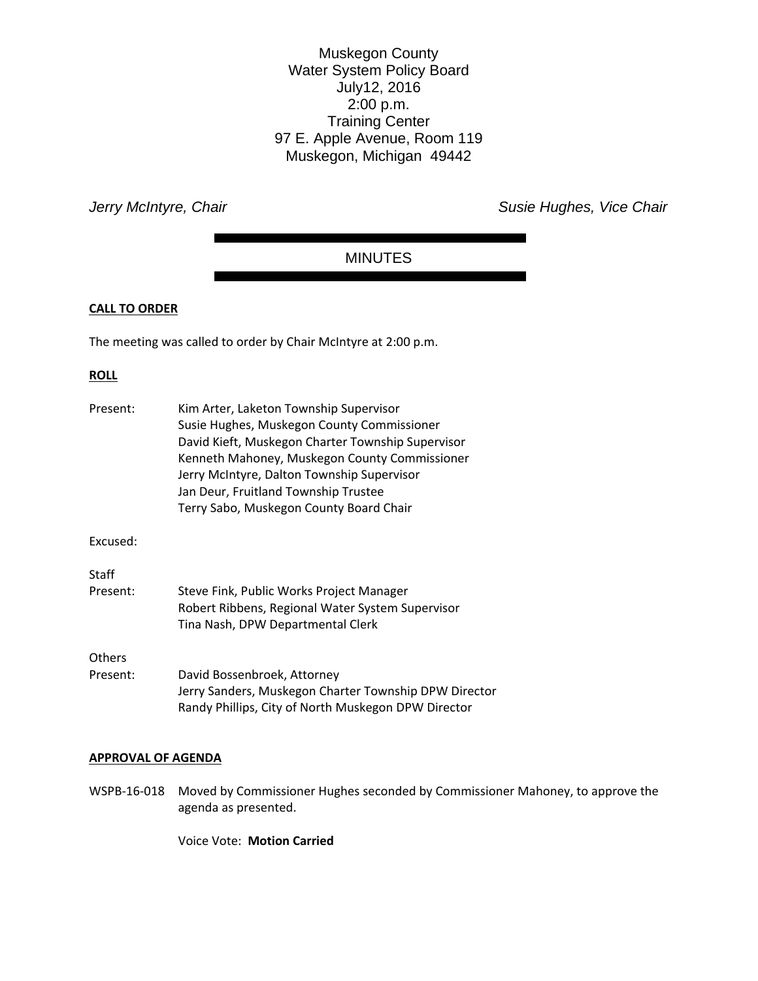Muskegon County Water System Policy Board July12, 2016 2:00 p.m. Training Center 97 E. Apple Avenue, Room 119 Muskegon, Michigan 49442

*Jerry McIntyre, Chair Chair Chair Chair Chair Susie Hughes, Vice Chair Chair* 

# MINUTES

### **CALL TO ORDER**

The meeting was called to order by Chair McIntyre at 2:00 p.m.

#### **ROLL**

| Present: | Kim Arter, Laketon Township Supervisor<br>Susie Hughes, Muskegon County Commissioner<br>David Kieft, Muskegon Charter Township Supervisor<br>Kenneth Mahoney, Muskegon County Commissioner<br>Jerry McIntyre, Dalton Township Supervisor<br>Jan Deur, Fruitland Township Trustee<br>Terry Sabo, Muskegon County Board Chair |
|----------|-----------------------------------------------------------------------------------------------------------------------------------------------------------------------------------------------------------------------------------------------------------------------------------------------------------------------------|
| Excused: |                                                                                                                                                                                                                                                                                                                             |
| Staff    |                                                                                                                                                                                                                                                                                                                             |
| Present: | Steve Fink, Public Works Project Manager<br>Robert Ribbens, Regional Water System Supervisor<br>Tina Nash, DPW Departmental Clerk                                                                                                                                                                                           |
| Others   |                                                                                                                                                                                                                                                                                                                             |
| Present: | David Bossenbroek, Attorney<br>Jerry Sanders, Muskegon Charter Township DPW Director<br>Randy Phillips, City of North Muskegon DPW Director                                                                                                                                                                                 |

#### **APPROVAL OF AGENDA**

WSPB‐16‐018 Moved by Commissioner Hughes seconded by Commissioner Mahoney, to approve the agenda as presented.

Voice Vote: **Motion Carried**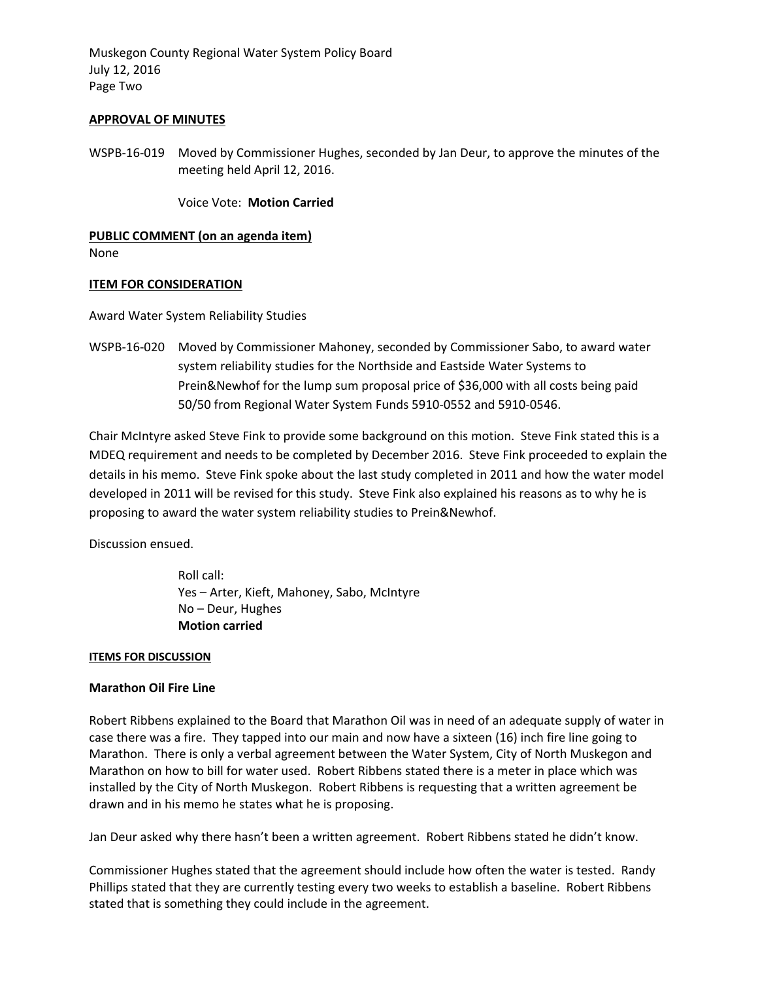Muskegon County Regional Water System Policy Board July 12, 2016 Page Two

#### **APPROVAL OF MINUTES**

WSPB‐16‐019 Moved by Commissioner Hughes, seconded by Jan Deur, to approve the minutes of the meeting held April 12, 2016.

Voice Vote: **Motion Carried**

**PUBLIC COMMENT (on an agenda item)**  None

#### **ITEM FOR CONSIDERATION**

Award Water System Reliability Studies

WSPB‐16‐020 Moved by Commissioner Mahoney, seconded by Commissioner Sabo, to award water system reliability studies for the Northside and Eastside Water Systems to Prein&Newhof for the lump sum proposal price of \$36,000 with all costs being paid 50/50 from Regional Water System Funds 5910‐0552 and 5910‐0546.

Chair McIntyre asked Steve Fink to provide some background on this motion. Steve Fink stated this is a MDEQ requirement and needs to be completed by December 2016. Steve Fink proceeded to explain the details in his memo. Steve Fink spoke about the last study completed in 2011 and how the water model developed in 2011 will be revised for this study. Steve Fink also explained his reasons as to why he is proposing to award the water system reliability studies to Prein&Newhof.

Discussion ensued.

Roll call: Yes – Arter, Kieft, Mahoney, Sabo, McIntyre No – Deur, Hughes **Motion carried**

#### **ITEMS FOR DISCUSSION**

#### **Marathon Oil Fire Line**

Robert Ribbens explained to the Board that Marathon Oil was in need of an adequate supply of water in case there was a fire. They tapped into our main and now have a sixteen (16) inch fire line going to Marathon. There is only a verbal agreement between the Water System, City of North Muskegon and Marathon on how to bill for water used. Robert Ribbens stated there is a meter in place which was installed by the City of North Muskegon. Robert Ribbens is requesting that a written agreement be drawn and in his memo he states what he is proposing.

Jan Deur asked why there hasn't been a written agreement. Robert Ribbens stated he didn't know.

Commissioner Hughes stated that the agreement should include how often the water is tested. Randy Phillips stated that they are currently testing every two weeks to establish a baseline. Robert Ribbens stated that is something they could include in the agreement.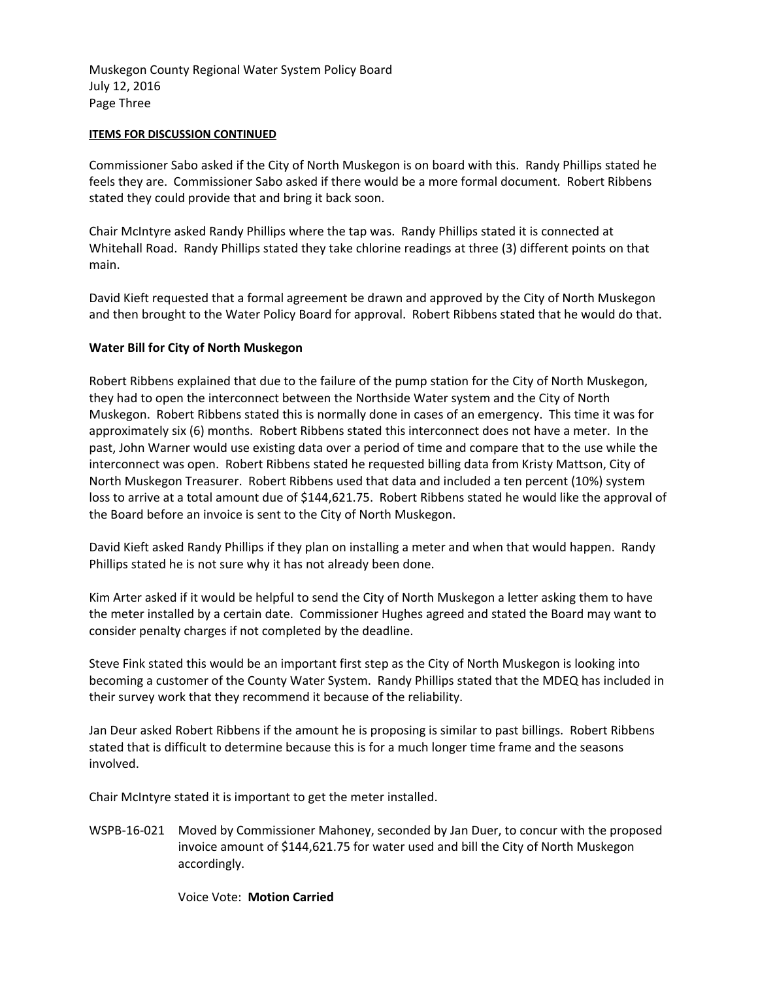Muskegon County Regional Water System Policy Board July 12, 2016 Page Three

### **ITEMS FOR DISCUSSION CONTINUED**

Commissioner Sabo asked if the City of North Muskegon is on board with this. Randy Phillips stated he feels they are. Commissioner Sabo asked if there would be a more formal document. Robert Ribbens stated they could provide that and bring it back soon.

Chair McIntyre asked Randy Phillips where the tap was. Randy Phillips stated it is connected at Whitehall Road. Randy Phillips stated they take chlorine readings at three (3) different points on that main.

David Kieft requested that a formal agreement be drawn and approved by the City of North Muskegon and then brought to the Water Policy Board for approval. Robert Ribbens stated that he would do that.

# **Water Bill for City of North Muskegon**

Robert Ribbens explained that due to the failure of the pump station for the City of North Muskegon, they had to open the interconnect between the Northside Water system and the City of North Muskegon. Robert Ribbens stated this is normally done in cases of an emergency. This time it was for approximately six (6) months. Robert Ribbens stated this interconnect does not have a meter. In the past, John Warner would use existing data over a period of time and compare that to the use while the interconnect was open. Robert Ribbens stated he requested billing data from Kristy Mattson, City of North Muskegon Treasurer. Robert Ribbens used that data and included a ten percent (10%) system loss to arrive at a total amount due of \$144,621.75. Robert Ribbens stated he would like the approval of the Board before an invoice is sent to the City of North Muskegon.

David Kieft asked Randy Phillips if they plan on installing a meter and when that would happen. Randy Phillips stated he is not sure why it has not already been done.

Kim Arter asked if it would be helpful to send the City of North Muskegon a letter asking them to have the meter installed by a certain date. Commissioner Hughes agreed and stated the Board may want to consider penalty charges if not completed by the deadline.

Steve Fink stated this would be an important first step as the City of North Muskegon is looking into becoming a customer of the County Water System. Randy Phillips stated that the MDEQ has included in their survey work that they recommend it because of the reliability.

Jan Deur asked Robert Ribbens if the amount he is proposing is similar to past billings. Robert Ribbens stated that is difficult to determine because this is for a much longer time frame and the seasons involved.

Chair McIntyre stated it is important to get the meter installed.

WSPB‐16‐021 Moved by Commissioner Mahoney, seconded by Jan Duer, to concur with the proposed invoice amount of \$144,621.75 for water used and bill the City of North Muskegon accordingly.

Voice Vote: **Motion Carried**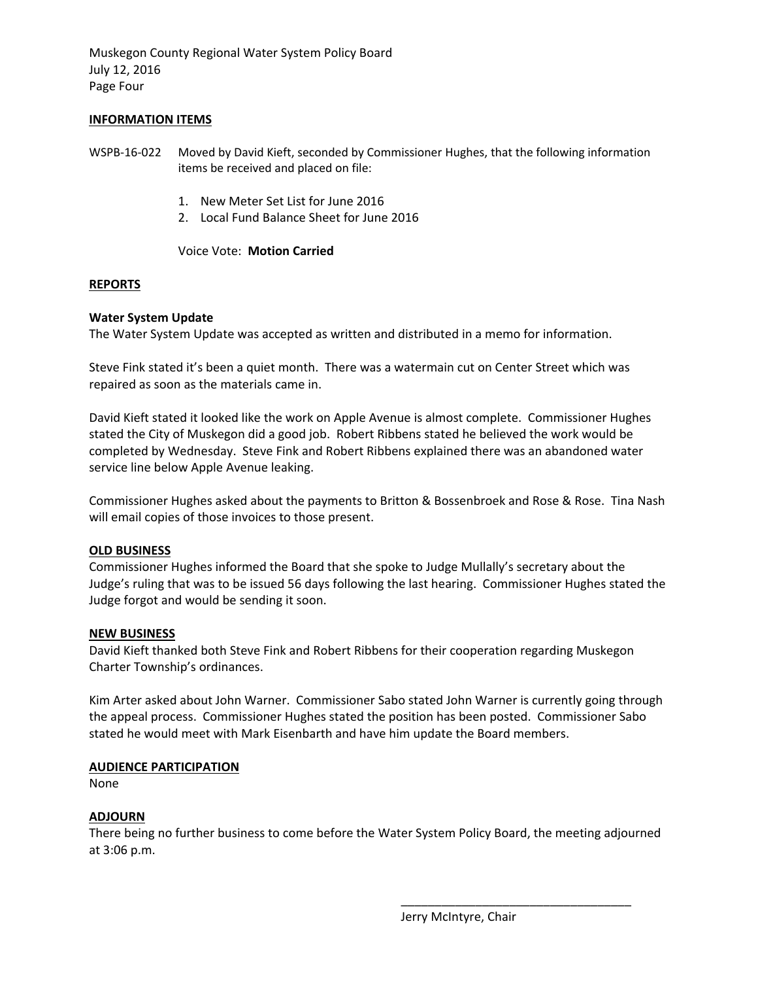Muskegon County Regional Water System Policy Board July 12, 2016 Page Four

#### **INFORMATION ITEMS**

WSPB‐16‐022 Moved by David Kieft, seconded by Commissioner Hughes, that the following information items be received and placed on file:

- 1. New Meter Set List for June 2016
- 2. Local Fund Balance Sheet for June 2016

#### Voice Vote: **Motion Carried**

### **REPORTS**

### **Water System Update**

The Water System Update was accepted as written and distributed in a memo for information.

Steve Fink stated it's been a quiet month. There was a watermain cut on Center Street which was repaired as soon as the materials came in.

David Kieft stated it looked like the work on Apple Avenue is almost complete. Commissioner Hughes stated the City of Muskegon did a good job. Robert Ribbens stated he believed the work would be completed by Wednesday. Steve Fink and Robert Ribbens explained there was an abandoned water service line below Apple Avenue leaking.

Commissioner Hughes asked about the payments to Britton & Bossenbroek and Rose & Rose. Tina Nash will email copies of those invoices to those present.

#### **OLD BUSINESS**

Commissioner Hughes informed the Board that she spoke to Judge Mullally's secretary about the Judge's ruling that was to be issued 56 days following the last hearing. Commissioner Hughes stated the Judge forgot and would be sending it soon.

#### **NEW BUSINESS**

David Kieft thanked both Steve Fink and Robert Ribbens for their cooperation regarding Muskegon Charter Township's ordinances.

Kim Arter asked about John Warner. Commissioner Sabo stated John Warner is currently going through the appeal process. Commissioner Hughes stated the position has been posted. Commissioner Sabo stated he would meet with Mark Eisenbarth and have him update the Board members.

# **AUDIENCE PARTICIPATION**

None

# **ADJOURN**

There being no further business to come before the Water System Policy Board, the meeting adjourned at 3:06 p.m.

Jerry McIntyre, Chair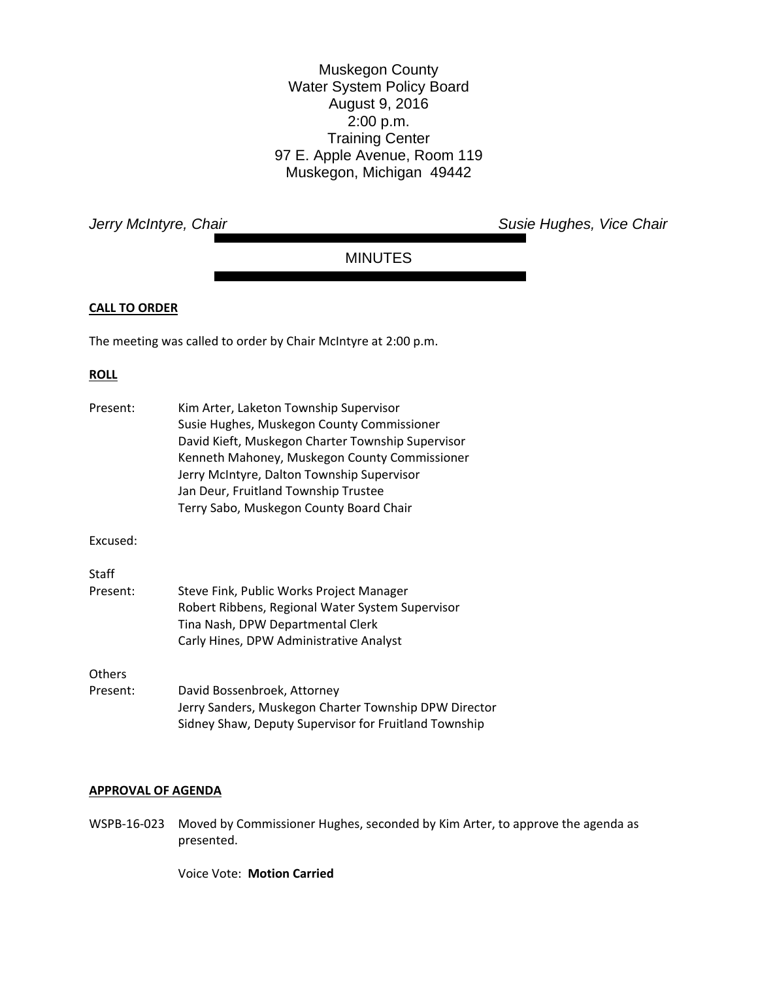Muskegon County Water System Policy Board August 9, 2016 2:00 p.m. Training Center 97 E. Apple Avenue, Room 119 Muskegon, Michigan 49442

*Jerry McIntyre, Chair Chair Chair Chair Chair Susie Hughes, Vice Chair Chair* 

# MINUTES

### **CALL TO ORDER**

The meeting was called to order by Chair McIntyre at 2:00 p.m.

# **ROLL**

| Present:           | Kim Arter, Laketon Township Supervisor<br>Susie Hughes, Muskegon County Commissioner<br>David Kieft, Muskegon Charter Township Supervisor<br>Kenneth Mahoney, Muskegon County Commissioner<br>Jerry McIntyre, Dalton Township Supervisor<br>Jan Deur, Fruitland Township Trustee<br>Terry Sabo, Muskegon County Board Chair |
|--------------------|-----------------------------------------------------------------------------------------------------------------------------------------------------------------------------------------------------------------------------------------------------------------------------------------------------------------------------|
| Excused:           |                                                                                                                                                                                                                                                                                                                             |
| Staff              |                                                                                                                                                                                                                                                                                                                             |
| Present:           | Steve Fink, Public Works Project Manager<br>Robert Ribbens, Regional Water System Supervisor<br>Tina Nash, DPW Departmental Clerk<br>Carly Hines, DPW Administrative Analyst                                                                                                                                                |
| Others<br>Present: | David Bossenbroek, Attorney<br>Jerry Sanders, Muskegon Charter Township DPW Director<br>Sidney Shaw, Deputy Supervisor for Fruitland Township                                                                                                                                                                               |

#### **APPROVAL OF AGENDA**

WSPB-16-023 Moved by Commissioner Hughes, seconded by Kim Arter, to approve the agenda as presented.

Voice Vote: **Motion Carried**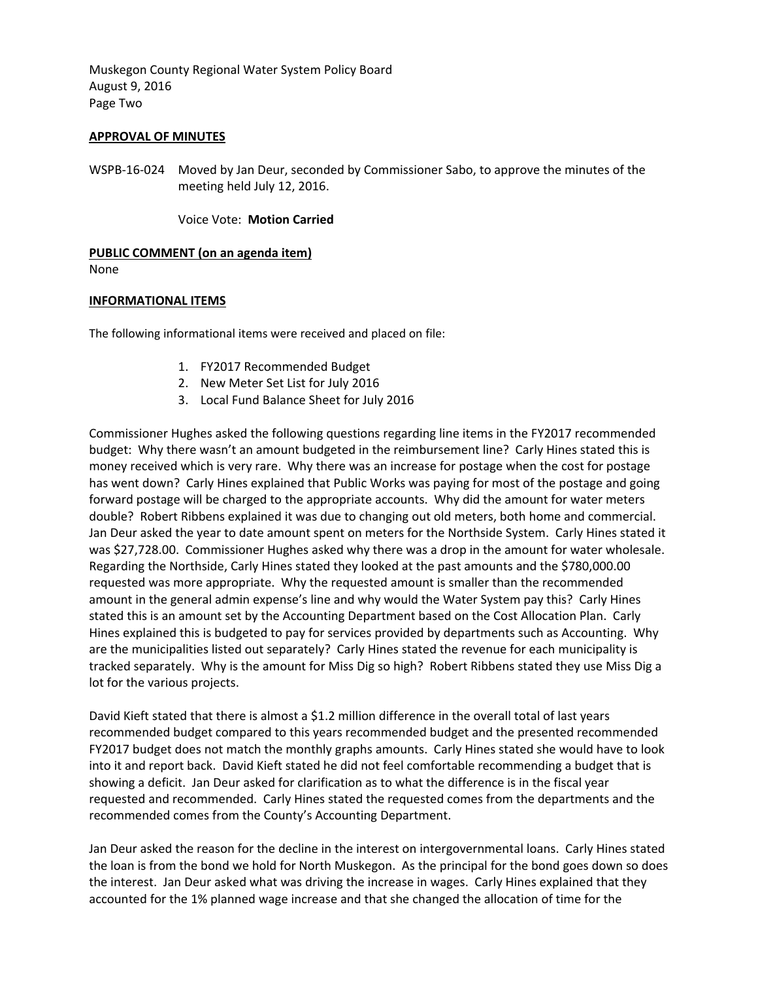Muskegon County Regional Water System Policy Board August 9, 2016 Page Two

### **APPROVAL OF MINUTES**

WSPB‐16‐024 Moved by Jan Deur, seconded by Commissioner Sabo, to approve the minutes of the meeting held July 12, 2016.

Voice Vote: **Motion Carried**

# **PUBLIC COMMENT (on an agenda item)**

None

### **INFORMATIONAL ITEMS**

The following informational items were received and placed on file:

- 1. FY2017 Recommended Budget
- 2. New Meter Set List for July 2016
- 3. Local Fund Balance Sheet for July 2016

Commissioner Hughes asked the following questions regarding line items in the FY2017 recommended budget: Why there wasn't an amount budgeted in the reimbursement line? Carly Hines stated this is money received which is very rare. Why there was an increase for postage when the cost for postage has went down? Carly Hines explained that Public Works was paying for most of the postage and going forward postage will be charged to the appropriate accounts. Why did the amount for water meters double? Robert Ribbens explained it was due to changing out old meters, both home and commercial. Jan Deur asked the year to date amount spent on meters for the Northside System. Carly Hines stated it was \$27,728.00. Commissioner Hughes asked why there was a drop in the amount for water wholesale. Regarding the Northside, Carly Hines stated they looked at the past amounts and the \$780,000.00 requested was more appropriate. Why the requested amount is smaller than the recommended amount in the general admin expense's line and why would the Water System pay this? Carly Hines stated this is an amount set by the Accounting Department based on the Cost Allocation Plan. Carly Hines explained this is budgeted to pay for services provided by departments such as Accounting. Why are the municipalities listed out separately? Carly Hines stated the revenue for each municipality is tracked separately. Why is the amount for Miss Dig so high? Robert Ribbens stated they use Miss Dig a lot for the various projects.

David Kieft stated that there is almost a \$1.2 million difference in the overall total of last years recommended budget compared to this years recommended budget and the presented recommended FY2017 budget does not match the monthly graphs amounts. Carly Hines stated she would have to look into it and report back. David Kieft stated he did not feel comfortable recommending a budget that is showing a deficit. Jan Deur asked for clarification as to what the difference is in the fiscal year requested and recommended. Carly Hines stated the requested comes from the departments and the recommended comes from the County's Accounting Department.

Jan Deur asked the reason for the decline in the interest on intergovernmental loans. Carly Hines stated the loan is from the bond we hold for North Muskegon. As the principal for the bond goes down so does the interest. Jan Deur asked what was driving the increase in wages. Carly Hines explained that they accounted for the 1% planned wage increase and that she changed the allocation of time for the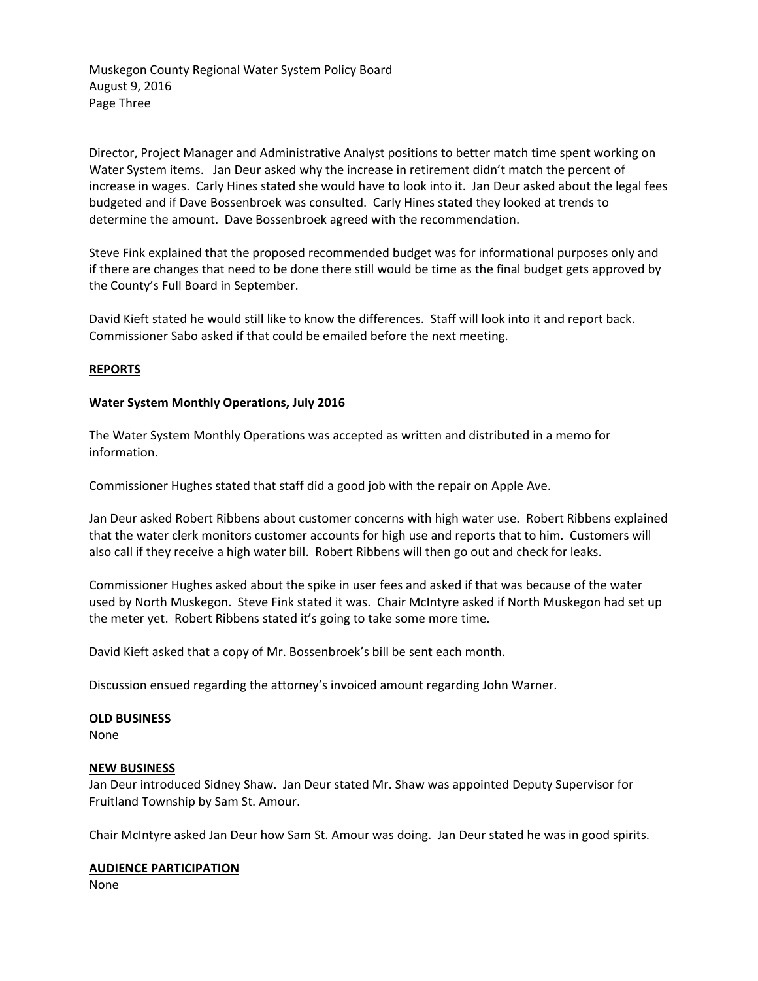Muskegon County Regional Water System Policy Board August 9, 2016 Page Three

Director, Project Manager and Administrative Analyst positions to better match time spent working on Water System items. Jan Deur asked why the increase in retirement didn't match the percent of increase in wages. Carly Hines stated she would have to look into it. Jan Deur asked about the legal fees budgeted and if Dave Bossenbroek was consulted. Carly Hines stated they looked at trends to determine the amount. Dave Bossenbroek agreed with the recommendation.

Steve Fink explained that the proposed recommended budget was for informational purposes only and if there are changes that need to be done there still would be time as the final budget gets approved by the County's Full Board in September.

David Kieft stated he would still like to know the differences. Staff will look into it and report back. Commissioner Sabo asked if that could be emailed before the next meeting.

### **REPORTS**

### **Water System Monthly Operations, July 2016**

The Water System Monthly Operations was accepted as written and distributed in a memo for information.

Commissioner Hughes stated that staff did a good job with the repair on Apple Ave.

Jan Deur asked Robert Ribbens about customer concerns with high water use. Robert Ribbens explained that the water clerk monitors customer accounts for high use and reports that to him. Customers will also call if they receive a high water bill. Robert Ribbens will then go out and check for leaks.

Commissioner Hughes asked about the spike in user fees and asked if that was because of the water used by North Muskegon. Steve Fink stated it was. Chair McIntyre asked if North Muskegon had set up the meter yet. Robert Ribbens stated it's going to take some more time.

David Kieft asked that a copy of Mr. Bossenbroek's bill be sent each month.

Discussion ensued regarding the attorney's invoiced amount regarding John Warner.

#### **OLD BUSINESS**

None

#### **NEW BUSINESS**

Jan Deur introduced Sidney Shaw. Jan Deur stated Mr. Shaw was appointed Deputy Supervisor for Fruitland Township by Sam St. Amour.

Chair McIntyre asked Jan Deur how Sam St. Amour was doing. Jan Deur stated he was in good spirits.

#### **AUDIENCE PARTICIPATION**

None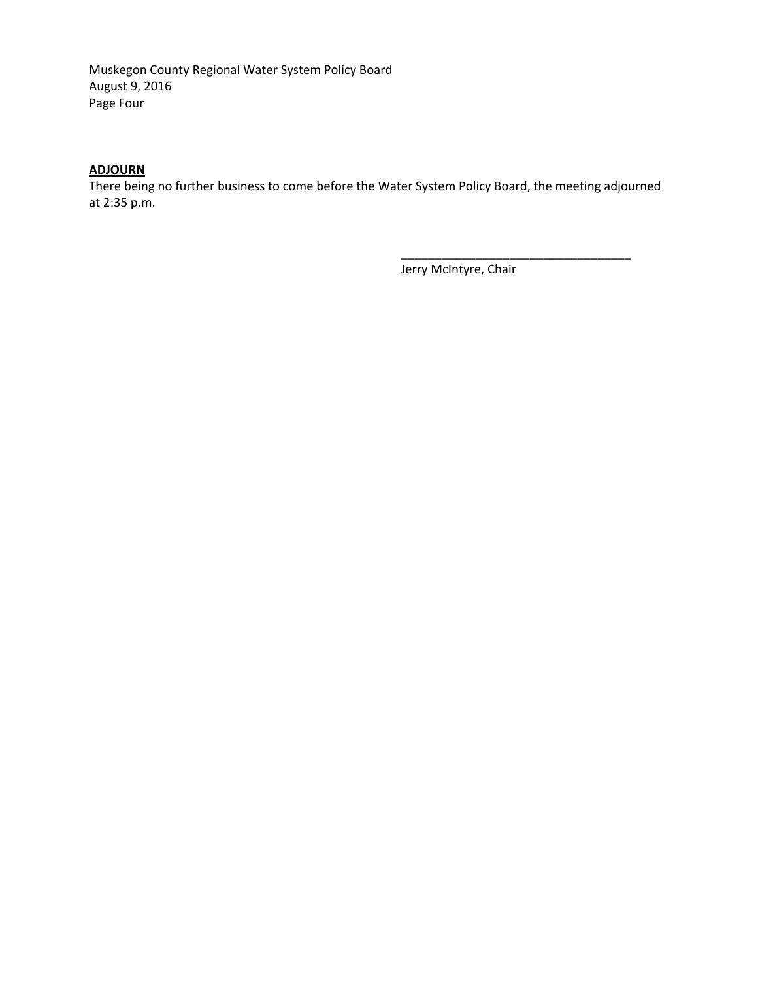Muskegon County Regional Water System Policy Board August 9, 2016 Page Four

# **ADJOURN**

There being no further business to come before the Water System Policy Board, the meeting adjourned at 2:35 p.m.

Jerry McIntyre, Chair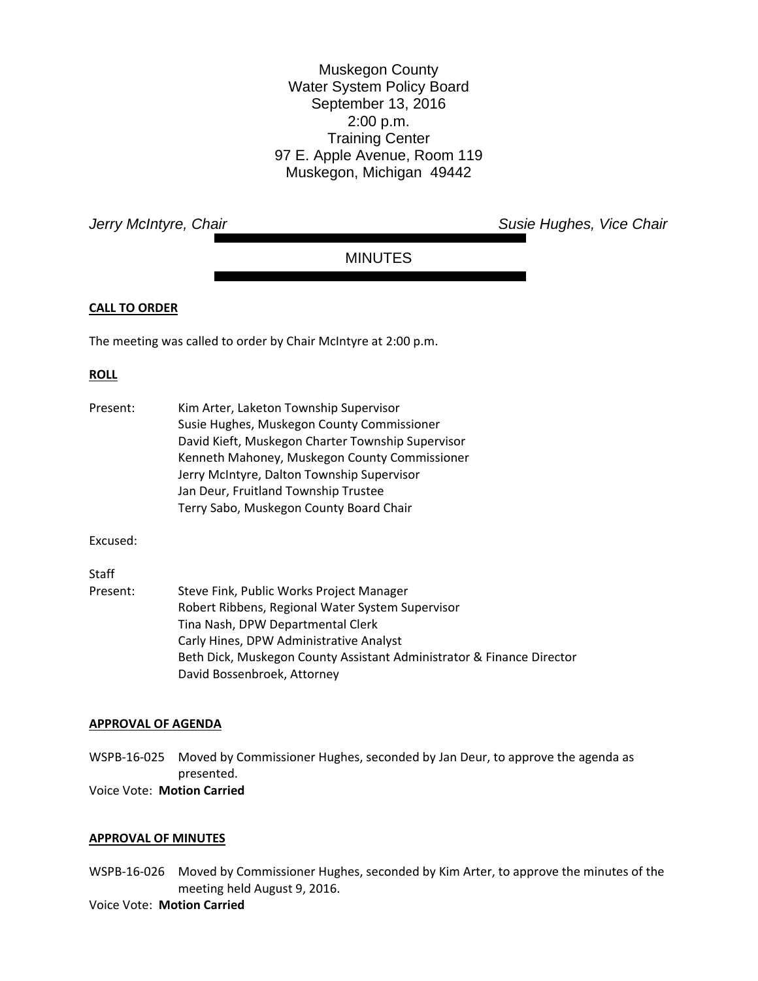Muskegon County Water System Policy Board September 13, 2016 2:00 p.m. Training Center 97 E. Apple Avenue, Room 119 Muskegon, Michigan 49442

*Jerry McIntyre, Chair* **Susie Hughes, Vice Chair** *Jerry McIntyre, Chair* **Susie Hughes, Vice Chair** 

# MINUTES

### **CALL TO ORDER**

The meeting was called to order by Chair McIntyre at 2:00 p.m.

# **ROLL**

| Present: | Kim Arter, Laketon Township Supervisor            |
|----------|---------------------------------------------------|
|          | Susie Hughes, Muskegon County Commissioner        |
|          | David Kieft, Muskegon Charter Township Supervisor |
|          | Kenneth Mahoney, Muskegon County Commissioner     |
|          | Jerry McIntyre, Dalton Township Supervisor        |
|          | Jan Deur, Fruitland Township Trustee              |
|          | Terry Sabo, Muskegon County Board Chair           |

Excused:

# **Staff**

| Present: | Steve Fink, Public Works Project Manager                              |
|----------|-----------------------------------------------------------------------|
|          | Robert Ribbens, Regional Water System Supervisor                      |
|          | Tina Nash, DPW Departmental Clerk                                     |
|          | Carly Hines, DPW Administrative Analyst                               |
|          | Beth Dick, Muskegon County Assistant Administrator & Finance Director |
|          | David Bossenbroek, Attorney                                           |

#### **APPROVAL OF AGENDA**

WSPB-16-025 Moved by Commissioner Hughes, seconded by Jan Deur, to approve the agenda as presented. Voice Vote: **Motion Carried**

#### **APPROVAL OF MINUTES**

WSPB‐16‐026 Moved by Commissioner Hughes, seconded by Kim Arter, to approve the minutes of the meeting held August 9, 2016.

# Voice Vote: **Motion Carried**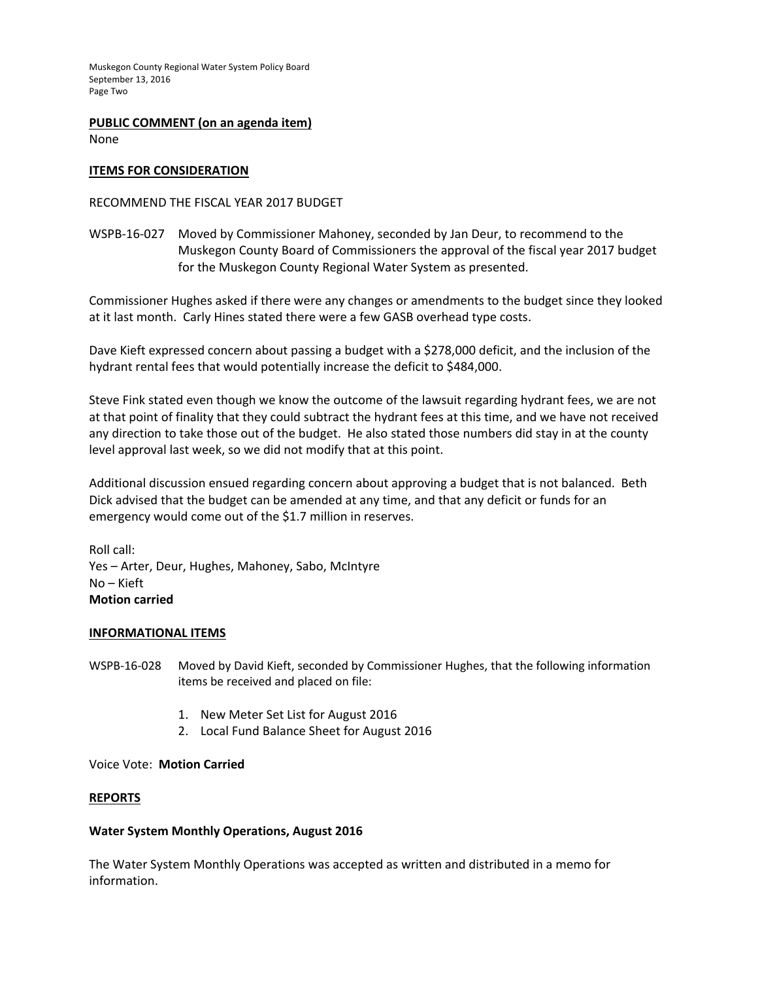Muskegon County Regional Water System Policy Board September 13, 2016 Page Two

**PUBLIC COMMENT (on an agenda item)** 

None

# **ITEMS FOR CONSIDERATION**

# RECOMMEND THE FISCAL YEAR 2017 BUDGET

WSPB‐16‐027 Moved by Commissioner Mahoney, seconded by Jan Deur, to recommend to the Muskegon County Board of Commissioners the approval of the fiscal year 2017 budget for the Muskegon County Regional Water System as presented.

Commissioner Hughes asked if there were any changes or amendments to the budget since they looked at it last month. Carly Hines stated there were a few GASB overhead type costs.

Dave Kieft expressed concern about passing a budget with a \$278,000 deficit, and the inclusion of the hydrant rental fees that would potentially increase the deficit to \$484,000.

Steve Fink stated even though we know the outcome of the lawsuit regarding hydrant fees, we are not at that point of finality that they could subtract the hydrant fees at this time, and we have not received any direction to take those out of the budget. He also stated those numbers did stay in at the county level approval last week, so we did not modify that at this point.

Additional discussion ensued regarding concern about approving a budget that is not balanced. Beth Dick advised that the budget can be amended at any time, and that any deficit or funds for an emergency would come out of the \$1.7 million in reserves.

Roll call: Yes – Arter, Deur, Hughes, Mahoney, Sabo, McIntyre No – Kieft **Motion carried**

# **INFORMATIONAL ITEMS**

WSPB‐16‐028 Moved by David Kieft, seconded by Commissioner Hughes, that the following information items be received and placed on file:

- 1. New Meter Set List for August 2016
- 2. Local Fund Balance Sheet for August 2016

Voice Vote: **Motion Carried**

# **REPORTS**

# **Water System Monthly Operations, August 2016**

The Water System Monthly Operations was accepted as written and distributed in a memo for information.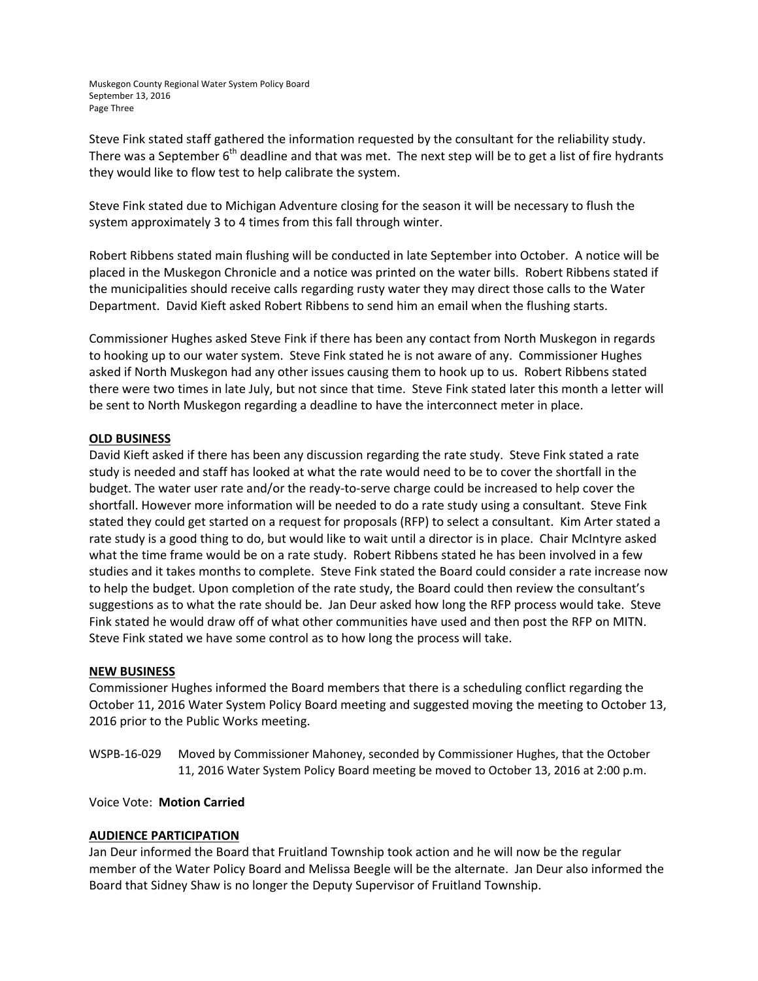Muskegon County Regional Water System Policy Board September 13, 2016 Page Three

Steve Fink stated staff gathered the information requested by the consultant for the reliability study. There was a September  $6<sup>th</sup>$  deadline and that was met. The next step will be to get a list of fire hydrants they would like to flow test to help calibrate the system.

Steve Fink stated due to Michigan Adventure closing for the season it will be necessary to flush the system approximately 3 to 4 times from this fall through winter.

Robert Ribbens stated main flushing will be conducted in late September into October. A notice will be placed in the Muskegon Chronicle and a notice was printed on the water bills. Robert Ribbens stated if the municipalities should receive calls regarding rusty water they may direct those calls to the Water Department. David Kieft asked Robert Ribbens to send him an email when the flushing starts.

Commissioner Hughes asked Steve Fink if there has been any contact from North Muskegon in regards to hooking up to our water system. Steve Fink stated he is not aware of any. Commissioner Hughes asked if North Muskegon had any other issues causing them to hook up to us. Robert Ribbens stated there were two times in late July, but not since that time. Steve Fink stated later this month a letter will be sent to North Muskegon regarding a deadline to have the interconnect meter in place.

### **OLD BUSINESS**

David Kieft asked if there has been any discussion regarding the rate study. Steve Fink stated a rate study is needed and staff has looked at what the rate would need to be to cover the shortfall in the budget. The water user rate and/or the ready‐to‐serve charge could be increased to help cover the shortfall. However more information will be needed to do a rate study using a consultant. Steve Fink stated they could get started on a request for proposals (RFP) to select a consultant. Kim Arter stated a rate study is a good thing to do, but would like to wait until a director is in place. Chair McIntyre asked what the time frame would be on a rate study. Robert Ribbens stated he has been involved in a few studies and it takes months to complete. Steve Fink stated the Board could consider a rate increase now to help the budget. Upon completion of the rate study, the Board could then review the consultant's suggestions as to what the rate should be. Jan Deur asked how long the RFP process would take. Steve Fink stated he would draw off of what other communities have used and then post the RFP on MITN. Steve Fink stated we have some control as to how long the process will take.

#### **NEW BUSINESS**

Commissioner Hughes informed the Board members that there is a scheduling conflict regarding the October 11, 2016 Water System Policy Board meeting and suggested moving the meeting to October 13, 2016 prior to the Public Works meeting.

WSPB‐16‐029 Moved by Commissioner Mahoney, seconded by Commissioner Hughes, that the October 11, 2016 Water System Policy Board meeting be moved to October 13, 2016 at 2:00 p.m.

Voice Vote: **Motion Carried**

# **AUDIENCE PARTICIPATION**

Jan Deur informed the Board that Fruitland Township took action and he will now be the regular member of the Water Policy Board and Melissa Beegle will be the alternate. Jan Deur also informed the Board that Sidney Shaw is no longer the Deputy Supervisor of Fruitland Township.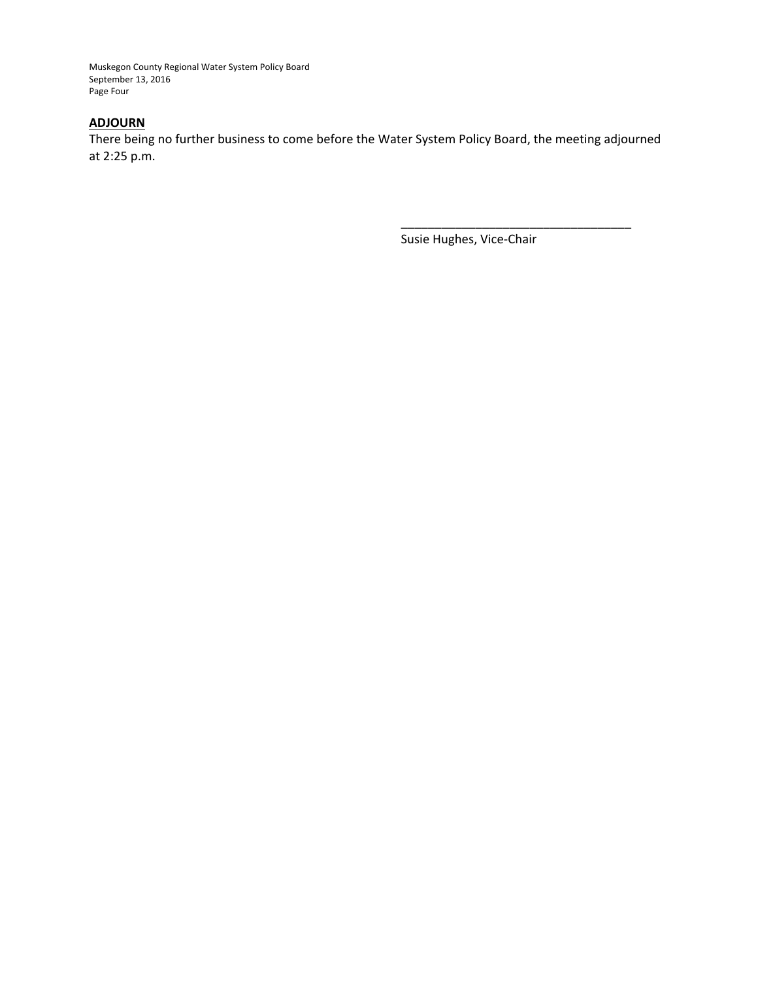Muskegon County Regional Water System Policy Board September 13, 2016 Page Four

# **ADJOURN**

There being no further business to come before the Water System Policy Board, the meeting adjourned at 2:25 p.m.

Susie Hughes, Vice‐Chair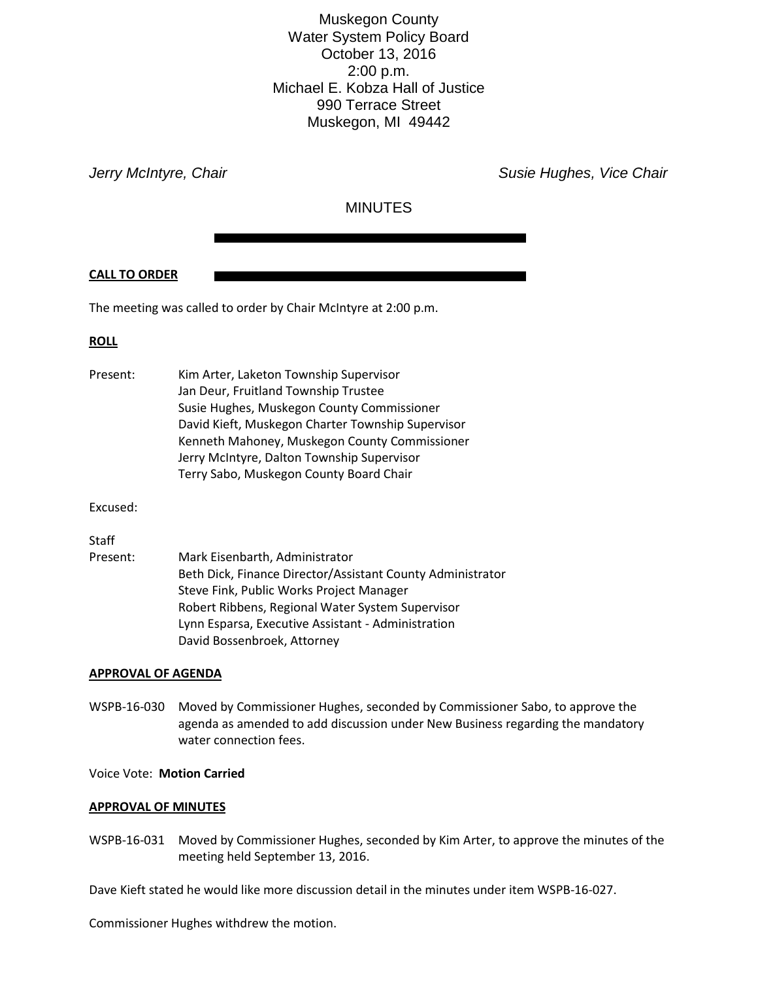Muskegon County Water System Policy Board October 13, 2016 2:00 p.m. Michael E. Kobza Hall of Justice 990 Terrace Street Muskegon, MI 49442

*Jerry McIntyre, Chair* **Susie Hughes, Vice Chair** Susie Hughes, Vice Chair

# MINUTES

### **CALL TO ORDER**

The meeting was called to order by Chair McIntyre at 2:00 p.m.

### **ROLL**

| Present: | Kim Arter, Laketon Township Supervisor            |
|----------|---------------------------------------------------|
|          | Jan Deur, Fruitland Township Trustee              |
|          | Susie Hughes, Muskegon County Commissioner        |
|          | David Kieft, Muskegon Charter Township Supervisor |
|          | Kenneth Mahoney, Muskegon County Commissioner     |
|          | Jerry McIntyre, Dalton Township Supervisor        |
|          | Terry Sabo, Muskegon County Board Chair           |

Excused:

#### **Staff**

| Present: | Mark Eisenbarth, Administrator                             |
|----------|------------------------------------------------------------|
|          | Beth Dick, Finance Director/Assistant County Administrator |
|          | Steve Fink, Public Works Project Manager                   |
|          | Robert Ribbens, Regional Water System Supervisor           |
|          | Lynn Esparsa, Executive Assistant - Administration         |
|          | David Bossenbroek, Attorney                                |

#### **APPROVAL OF AGENDA**

WSPB-16-030 Moved by Commissioner Hughes, seconded by Commissioner Sabo, to approve the agenda as amended to add discussion under New Business regarding the mandatory water connection fees.

#### Voice Vote: **Motion Carried**

#### **APPROVAL OF MINUTES**

WSPB-16-031 Moved by Commissioner Hughes, seconded by Kim Arter, to approve the minutes of the meeting held September 13, 2016.

Dave Kieft stated he would like more discussion detail in the minutes under item WSPB-16-027.

Commissioner Hughes withdrew the motion.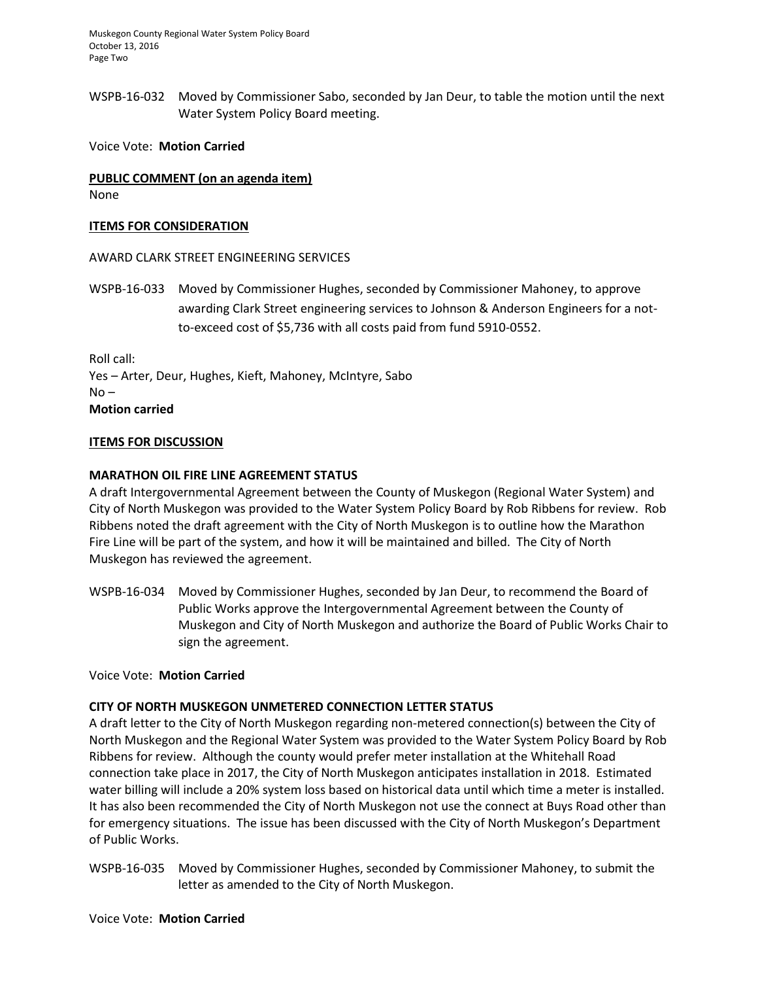Muskegon County Regional Water System Policy Board October 13, 2016 Page Two

WSPB-16-032 Moved by Commissioner Sabo, seconded by Jan Deur, to table the motion until the next Water System Policy Board meeting.

Voice Vote: **Motion Carried**

# **PUBLIC COMMENT (on an agenda item)**

None

### **ITEMS FOR CONSIDERATION**

AWARD CLARK STREET ENGINEERING SERVICES

WSPB-16-033 Moved by Commissioner Hughes, seconded by Commissioner Mahoney, to approve awarding Clark Street engineering services to Johnson & Anderson Engineers for a notto-exceed cost of \$5,736 with all costs paid from fund 5910-0552.

Roll call: Yes – Arter, Deur, Hughes, Kieft, Mahoney, McIntyre, Sabo  $No -$ **Motion carried**

### **ITEMS FOR DISCUSSION**

### **MARATHON OIL FIRE LINE AGREEMENT STATUS**

A draft Intergovernmental Agreement between the County of Muskegon (Regional Water System) and City of North Muskegon was provided to the Water System Policy Board by Rob Ribbens for review. Rob Ribbens noted the draft agreement with the City of North Muskegon is to outline how the Marathon Fire Line will be part of the system, and how it will be maintained and billed. The City of North Muskegon has reviewed the agreement.

WSPB-16-034 Moved by Commissioner Hughes, seconded by Jan Deur, to recommend the Board of Public Works approve the Intergovernmental Agreement between the County of Muskegon and City of North Muskegon and authorize the Board of Public Works Chair to sign the agreement.

#### Voice Vote: **Motion Carried**

# **CITY OF NORTH MUSKEGON UNMETERED CONNECTION LETTER STATUS**

A draft letter to the City of North Muskegon regarding non-metered connection(s) between the City of North Muskegon and the Regional Water System was provided to the Water System Policy Board by Rob Ribbens for review. Although the county would prefer meter installation at the Whitehall Road connection take place in 2017, the City of North Muskegon anticipates installation in 2018. Estimated water billing will include a 20% system loss based on historical data until which time a meter is installed. It has also been recommended the City of North Muskegon not use the connect at Buys Road other than for emergency situations. The issue has been discussed with the City of North Muskegon's Department of Public Works.

WSPB-16-035 Moved by Commissioner Hughes, seconded by Commissioner Mahoney, to submit the letter as amended to the City of North Muskegon.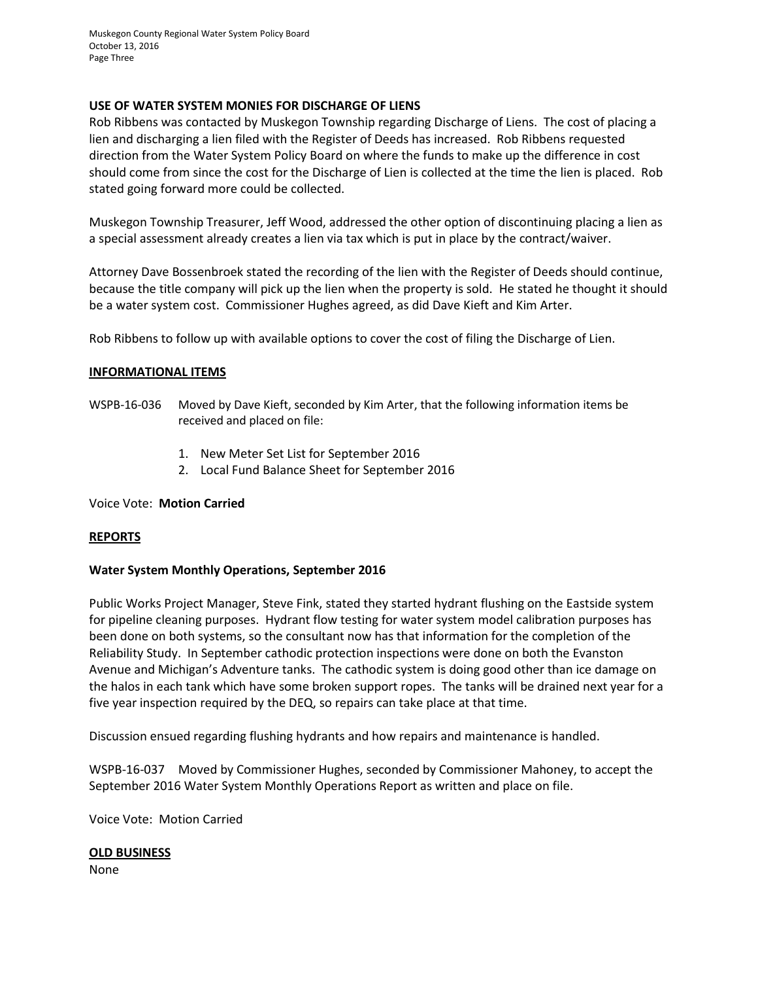Muskegon County Regional Water System Policy Board October 13, 2016 Page Three

#### **USE OF WATER SYSTEM MONIES FOR DISCHARGE OF LIENS**

Rob Ribbens was contacted by Muskegon Township regarding Discharge of Liens. The cost of placing a lien and discharging a lien filed with the Register of Deeds has increased. Rob Ribbens requested direction from the Water System Policy Board on where the funds to make up the difference in cost should come from since the cost for the Discharge of Lien is collected at the time the lien is placed. Rob stated going forward more could be collected.

Muskegon Township Treasurer, Jeff Wood, addressed the other option of discontinuing placing a lien as a special assessment already creates a lien via tax which is put in place by the contract/waiver.

Attorney Dave Bossenbroek stated the recording of the lien with the Register of Deeds should continue, because the title company will pick up the lien when the property is sold. He stated he thought it should be a water system cost. Commissioner Hughes agreed, as did Dave Kieft and Kim Arter.

Rob Ribbens to follow up with available options to cover the cost of filing the Discharge of Lien.

### **INFORMATIONAL ITEMS**

- WSPB-16-036 Moved by Dave Kieft, seconded by Kim Arter, that the following information items be received and placed on file:
	- 1. New Meter Set List for September 2016
	- 2. Local Fund Balance Sheet for September 2016

#### Voice Vote: **Motion Carried**

#### **REPORTS**

#### **Water System Monthly Operations, September 2016**

Public Works Project Manager, Steve Fink, stated they started hydrant flushing on the Eastside system for pipeline cleaning purposes. Hydrant flow testing for water system model calibration purposes has been done on both systems, so the consultant now has that information for the completion of the Reliability Study. In September cathodic protection inspections were done on both the Evanston Avenue and Michigan's Adventure tanks. The cathodic system is doing good other than ice damage on the halos in each tank which have some broken support ropes. The tanks will be drained next year for a five year inspection required by the DEQ, so repairs can take place at that time.

Discussion ensued regarding flushing hydrants and how repairs and maintenance is handled.

WSPB-16-037 Moved by Commissioner Hughes, seconded by Commissioner Mahoney, to accept the September 2016 Water System Monthly Operations Report as written and place on file.

Voice Vote: Motion Carried

#### **OLD BUSINESS**

None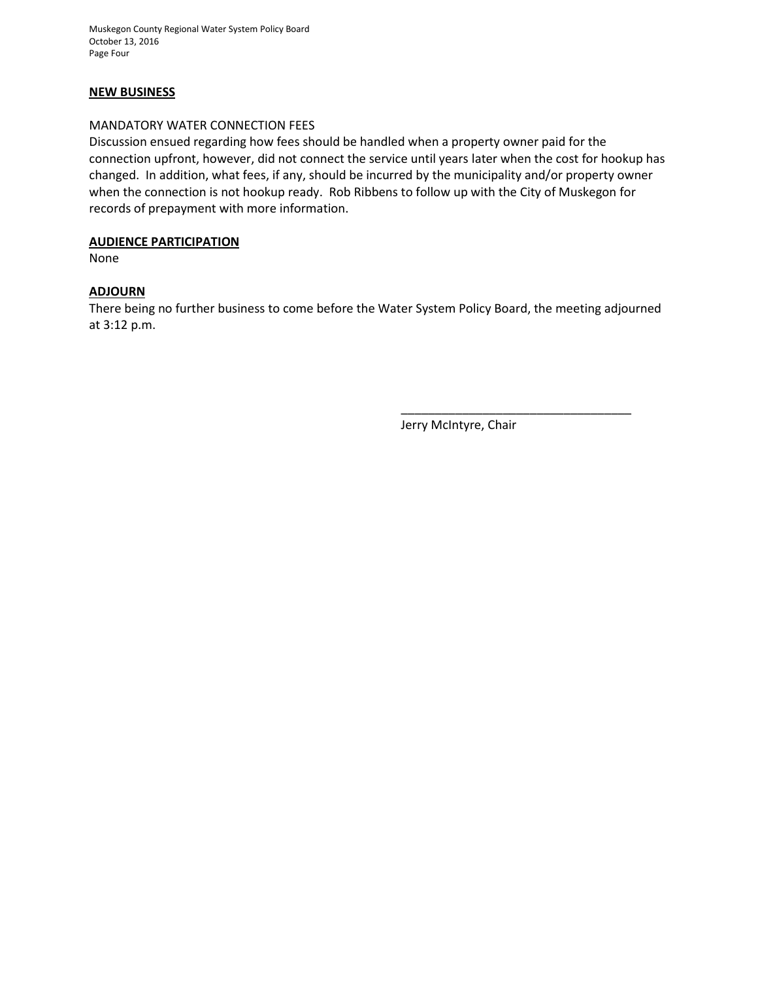Muskegon County Regional Water System Policy Board October 13, 2016 Page Four

### **NEW BUSINESS**

#### MANDATORY WATER CONNECTION FEES

Discussion ensued regarding how fees should be handled when a property owner paid for the connection upfront, however, did not connect the service until years later when the cost for hookup has changed. In addition, what fees, if any, should be incurred by the municipality and/or property owner when the connection is not hookup ready. Rob Ribbens to follow up with the City of Muskegon for records of prepayment with more information.

### **AUDIENCE PARTICIPATION**

None

# **ADJOURN**

There being no further business to come before the Water System Policy Board, the meeting adjourned at 3:12 p.m.

Jerry McIntyre, Chair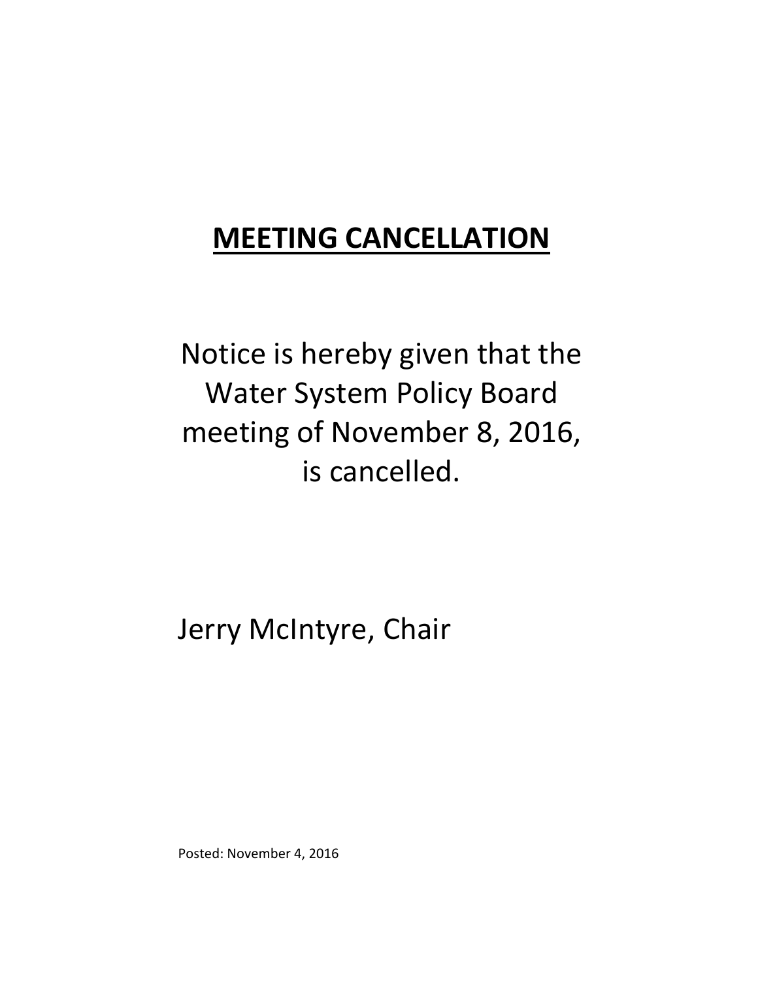# **MEETING CANCELLATION**

Notice is hereby given that the Water System Policy Board meeting of November 8, 2016, is cancelled.

Jerry McIntyre, Chair

Posted: November 4, 2016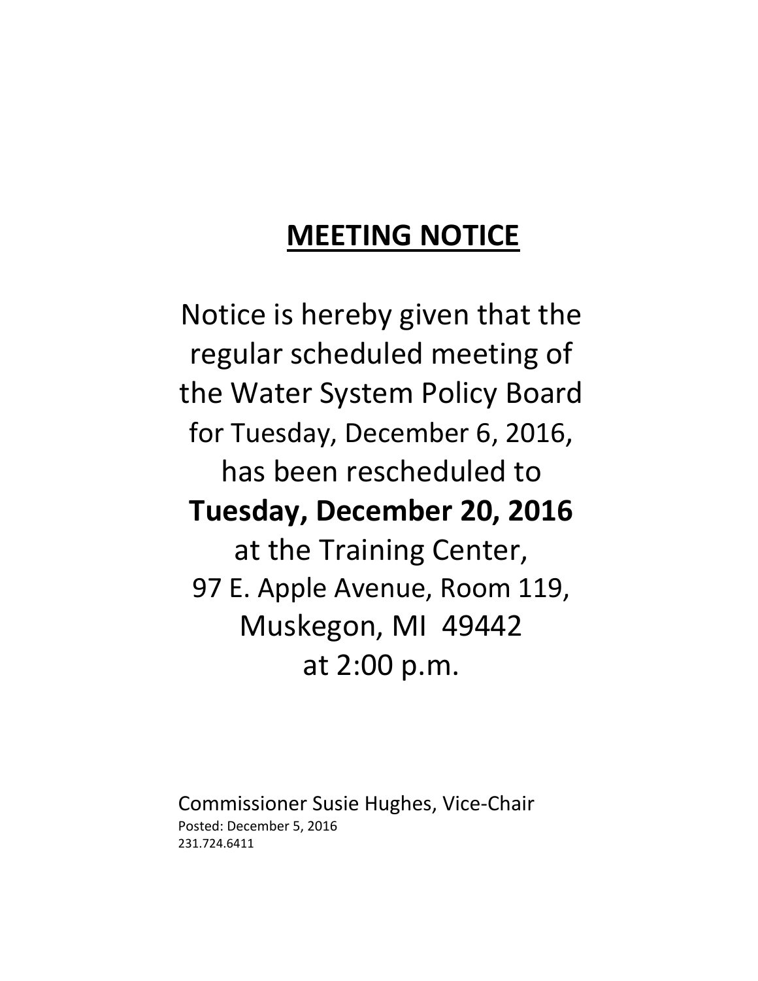# **MEETING NOTICE**

Notice is hereby given that the regular scheduled meeting of the Water System Policy Board for Tuesday, December 6, 2016, has been rescheduled to **Tuesday, December 20, 2016** at the Training Center, 97 E. Apple Avenue, Room 119, Muskegon, MI 49442 at 2:00 p.m.

Commissioner Susie Hughes, Vice‐Chair Posted: December 5, 2016 231.724.6411